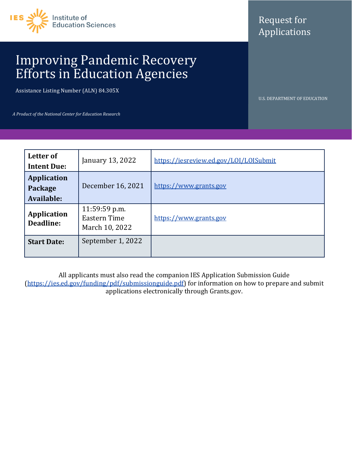

# Request for Applications

# Improving Pandemic Recovery Efforts in Education Agencies

Assistance Listing Number (ALN) 84.305X

U.S. DEPARTMENT OF EDUCATION

*A Product of the National Center for Education Research*

| Letter of<br><b>Intent Due:</b>             | January 13, 2022                                | https://iesreview.ed.gov/LOI/LOISubmit |
|---------------------------------------------|-------------------------------------------------|----------------------------------------|
| <b>Application</b><br>Package<br>Available: | December 16, 2021                               | https://www.grants.gov                 |
| <b>Application</b><br>Deadline:             | 11:59:59 p.m.<br>Eastern Time<br>March 10, 2022 | https://www.grants.gov                 |
| <b>Start Date:</b>                          | September 1, 2022                               |                                        |

All applicants must also read the companion IES Application Submission Guide [\(https://ies.ed.gov/funding/pdf/submissionguide.pdf\)](https://ies.ed.gov/funding/pdf/submissionguide.pdf) for information on how to prepare and submit applications electronically through Grants.gov.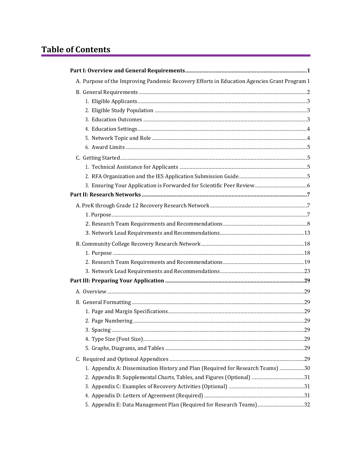# **Table of Contents**

| A. Purpose of the Improving Pandemic Recovery Efforts in Education Agencies Grant Program 1 |  |
|---------------------------------------------------------------------------------------------|--|
|                                                                                             |  |
|                                                                                             |  |
|                                                                                             |  |
|                                                                                             |  |
|                                                                                             |  |
|                                                                                             |  |
|                                                                                             |  |
|                                                                                             |  |
|                                                                                             |  |
|                                                                                             |  |
|                                                                                             |  |
|                                                                                             |  |
|                                                                                             |  |
|                                                                                             |  |
|                                                                                             |  |
|                                                                                             |  |
|                                                                                             |  |
|                                                                                             |  |
|                                                                                             |  |
|                                                                                             |  |
|                                                                                             |  |
|                                                                                             |  |
|                                                                                             |  |
|                                                                                             |  |
|                                                                                             |  |
|                                                                                             |  |
|                                                                                             |  |
|                                                                                             |  |
|                                                                                             |  |
| 1. Appendix A: Dissemination History and Plan (Required for Research Teams) 30              |  |
| 2. Appendix B: Supplemental Charts, Tables, and Figures (Optional) 31                       |  |
|                                                                                             |  |
|                                                                                             |  |
| 5. Appendix E: Data Management Plan (Required for Research Teams)32                         |  |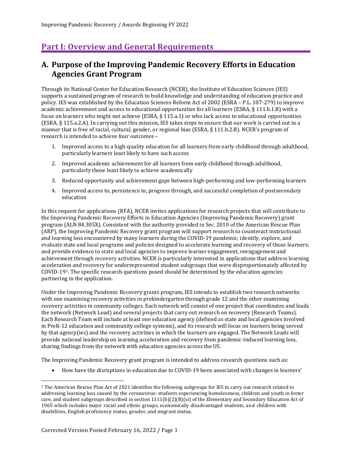## <span id="page-3-0"></span>**Part I: Overview and General Requirements**

## <span id="page-3-1"></span>**A. Purpose of the Improving Pandemic Recovery Efforts in Education Agencies Grant Program**

Through its National Center for Education Research (NCER), the Institute of Education Sciences (IES) supports a sustained program of research to build knowledge and understanding of education practice and policy. IES was established by the Education Sciences Reform Act of 2002 (ESRA – P.L. 107-279) to improve academic achievement and access to educational opportunities for all learners (ESRA, § 111.b.1.B) with a focus on learners who might not achieve (ESRA, § 115.a.1) or who lack access to educational opportunities (ESRA, § 115.a.2.A). In carrying out this mission, IES takes steps to ensure that our work is carried out in a manner that is free of racial, cultural, gender, or regional bias (ESRA, § 111.b.2.B). NCER's program of research is intended to achieve four outcomes –

- 1. Improved access to a high-quality education for all learners from early childhood through adulthood, particularly learners least likely to have such access
- 2. Improved academic achievement for all learners from early childhood through adulthood, particularly those least likely to achieve academically
- 3. Reduced opportunity and achievement gaps between high-performing and low-performing learners
- 4. Improved access to, persistence in, progress through, and successful completion of postsecondary education

In this request for applications (RFA), NCER invites applications for research projects that will contribute to the Improving Pandemic Recovery Efforts in Education Agencies (Improving Pandemic Recovery) grant program (ALN 84.305X). Consistent with the authority provided in Sec. 2010 of the American Rescue Plan (ARP), the Improving Pandemic Recovery grant program will support research to counteract instructional and learning loss encountered by many learners during the COVID-19 pandemic; identify, explore, and evaluate state and local programs and policies designed to accelerate learning and recovery of those learners; and provide evidence to state and local agencies to improve learner engagement, reengagement and achievement through recovery activities. NCER is particularly interested in applications that address learning acceleration and recovery for underrepresented student subgroups that were disproportionately affected by COVID-19[1.](#page-3-2) The specific research questions posed should be determined by the education agencies partnering in the application.

Under the Improving Pandemic Recovery grants program, IES intends to establish two research networks with one examining recovery activities in prekindergarten through grade 12 and the other examining recovery activities in community colleges. Each network will consist of one project that coordinates and leads the network (Network Lead) and several projects that carry out research on recovery (Research Teams). Each Research Team will include at least one education agency (defined as state and local agencies involved in PreK-12 education and community college systems), and its research will focus on learners being served by that agency(ies) and the recovery activities in which the learners are engaged. The Network Leads will provide national leadership on learning acceleration and recovery from pandemic-induced learning loss, sharing findings from the network with education agencies across the US.

The Improving Pandemic Recovery grant program is intended to address research questions such as:

• How have the disruptions in education due to COVID-19 been associated with changes in learners'

<span id="page-3-2"></span><sup>1</sup> The American Rescue Plan Act of 2021 identifies the following subgroups for IES to carry out research related to addressing learning loss caused by the coronavirus: students experiencing homelessness, children and youth in foster care, and student subgroups described in section 1111(b)(2)(B)(xi) of the Elementary and Secondary Education Act of 1965 which includes major racial and ethnic groups, economically disadvantaged students, and children with disabilities, English proficiency status, gender, and migrant status.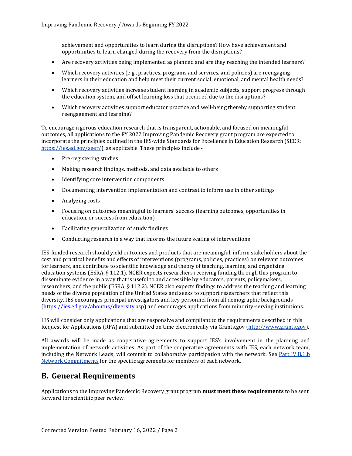achievement and opportunities to learn during the disruptions? How have achievement and opportunities to learn changed during the recovery from the disruptions?

- Are recovery activities being implemented as planned and are they reaching the intended learners?
- Which recovery activities (e.g., practices, programs and services, and policies) are reengaging learners in their education and help meet their current social, emotional, and mental health needs?
- Which recovery activities increase student learning in academic subjects, support progress through the education system, and offset learning loss that occurred due to the disruptions?
- Which recovery activities support educator practice and well-being thereby supporting student reengagement and learning?

To encourage rigorous education research that is transparent, actionable, and focused on meaningful outcomes, all applications to the FY 2022 Improving Pandemic Recovery grant program are expected to incorporate the principles outlined in the IES-wide Standards for Excellence in Education Research (SEER; [https://ies.ed.gov/seer/\)](https://ies.ed.gov/seer/), as applicable. These principles include -

- Pre-registering studies
- Making research findings, methods, and data available to others
- Identifying core intervention components
- Documenting intervention implementation and contrast to inform use in other settings
- Analyzing costs
- Focusing on outcomes meaningful to learners' success (learning outcomes, opportunities in education, or success from education)
- Facilitating generalization of study findings
- Conducting research in a way that informs the future scaling of interventions

IES-funded research should yield outcomes and products that are meaningful, inform stakeholders about the cost and practical benefits and effects of interventions (programs, policies, practices) on relevant outcomes for learners, and contribute to scientific knowledge and theory of teaching, learning, and organizing education systems (ESRA, § 112.1). NCER expects researchers receiving funding through this program to disseminate evidence in a way that is useful to and accessible by educators, parents, policymakers, researchers, and the public (ESRA, § 112.2). NCER also expects findings to address the teaching and learning needs of the diverse population of the United States and seeks to support researchers that reflect this diversity. IES encourages principal investigators and key personnel from all demographic backgrounds [\(https://ies.ed.gov/aboutus/diversity.asp\)](https://ies.ed.gov/aboutus/diversity.asp) and encourages applications from minority-serving institutions.

IES will consider only applications that are responsive and compliant to the requirements described in this Request for Applications (RFA) and submitted on time electronically via Grants.gov [\(http://www.grants.gov\)](http://www.grants.gov/).

All awards will be made as cooperative agreements to support IES's involvement in the planning and implementation of network activities. As part of the cooperative agreements with IES, each network team, including the Network Leads, will commit to collaborative participation with the network. See [Part IV.B.1.b](#page-39-4)  [Network Commitments](#page-39-4) for the specific agreements for members of each network.

## <span id="page-4-0"></span>**B. General Requirements**

Applications to the Improving Pandemic Recovery grant program **must meet these requirements** to be sent forward for scientific peer review.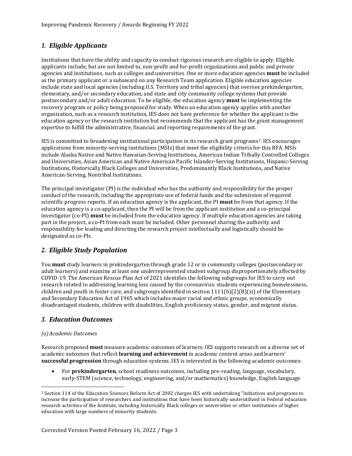## <span id="page-5-0"></span>*1. Eligible Applicants*

Institutions that have the ability and capacity to conduct rigorous research are eligible to apply. Eligible applicants include, but are not limited to, non-profit and for-profit organizations and public and private agencies and institutions, such as colleges and universities. One or more education agencies **must** be included as the primary applicant or a subaward on any Research Team application. Eligible education agencies include state and local agencies (including U.S. Territory and tribal agencies) that oversee prekindergarten, elementary, and/or secondary education, and state and city community college systems that provide postsecondary and/or adult education. To be eligible, the education agency **must** be implementing the recovery program or policy being proposed for study. When an education agency applies with another organization, such as a research institution, IES does not have preference for whether the applicant is the education agency or the research institution but recommends that the applicant has the grant management expertise to fulfill the administrative, financial, and reporting requirements of the grant.

IES is committed to broadening institutional participation in its research grant programs[2.](#page-5-3) IES encourages applications from minority-serving institutions (MSIs) that meet the eligibility criteria for this RFA. MSIs include Alaska Native and Native Hawaiian-Serving Institutions, American Indian Tribally Controlled Colleges and Universities, Asian American and Native American Pacific Islander-Serving Institutions, Hispanic-Serving Institutions, Historically Black Colleges and Universities, Predominantly Black Institutions, and Native American-Serving, Nontribal Institutions.

The principal investigator (PI) is the individual who has the authority and responsibility for the proper conduct of the research, including the appropriate use of federal funds and the submission of required scientific progress reports. If an education agency is the applicant, the PI **must** be from that agency. If the education agency is a co-applicant, then the PI will be from the applicant institution and a co-principal investigator (co-PI) **must** be included from the education agency. If multiple education agencies are taking part in the project, a co-PI from each must be included. Other personnel sharing the authority and responsibility for leading and directing the research project intellectually and logistically should be designated as co-PIs.

## <span id="page-5-1"></span>*2. Eligible Study Population*

You **must** study learners in prekindergarten through grade 12 or in community colleges (postsecondary or adult learners) and examine at least one underrepresented student subgroup disproportionately affected by COVID-19. The American Rescue Plan Act of 2021 identifies the following subgroups for IES to carry out research related to addressing learning loss caused by the coronavirus: students experiencing homelessness, children and youth in foster care, and subgroups identified in section  $1111(b)(2)(B)(xi)$  of the Elementary and Secondary Education Act of 1965 which includes major racial and ethnic groups, economically disadvantaged students, children with disabilities, English proficiency status, gender, and migrant status.

## <span id="page-5-2"></span>*3. Education Outcomes*

### *(a)Academic Outcomes*

Research proposed **must** measure academic outcomes of learners. IES supports research on a diverse set of academic outcomes that reflect **learning and achievement** in academic content areas and learners' **successful progression** through education systems. IES is interested in the following academic outcomes:

• For **prekindergarten**, school readiness outcomes, including pre-reading, language, vocabulary, early-STEM (science, technology, engineering, and/or mathematics) knowledge, English language

<span id="page-5-3"></span><sup>2</sup> Section 114 of the Education Sciences Reform Act of 2002 charges IES with undertaking "initiatives and programs to increase the participation of researchers and institutions that have been historically underutilized in Federal education research activities of the Institute, including historically Black colleges or universities or other institutions of higher education with large numbers of minority students.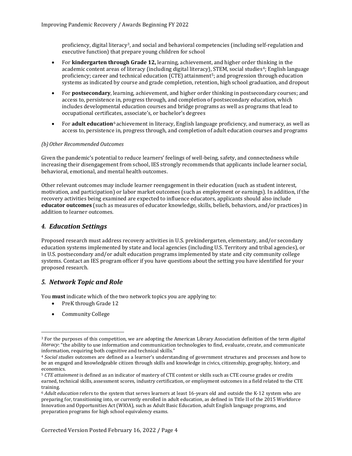proficiency, digital literacy<sup>3</sup>, and social and behavioral competencies (including self-regulation and executive function) that prepare young children for school

- For **kindergarten through Grade 12,** learning, achievement, and higher order thinking in the academic content areas of literacy (including digital literacy), STEM, social studies<sup>[4](#page-6-3)</sup>; English language proficiency; career and technical education (CTE) attainment<sup>[5](#page-6-4)</sup>; and progression through education systems as indicated by course and grade completion, retention, high school graduation, and dropout
- For **postsecondary**, learning, achievement, and higher order thinking in postsecondary courses; and access to, persistence in, progress through, and completion of postsecondary education, which includes developmental education courses and bridge programs as well as programs that lead to occupational certificates, associate's, or bachelor's degrees
- For **adult education**[6](#page-6-5) achievement in literacy, English language proficiency, and numeracy, as well as access to, persistence in, progress through, and completion of adult education courses and programs

#### *(b)Other Recommended Outcomes*

Given the pandemic's potential to reduce learners' feelings of well-being, safety, and connectedness while increasing their disengagement from school, IES strongly recommends that applicants include learner social, behavioral, emotional, and mental health outcomes.

Other relevant outcomes may include learner reengagement in their education (such as student interest, motivation, and participation) or labor market outcomes (such as employment or earnings). In addition, if the recovery activities being examined are expected to influence educators, applicants should also include **educator outcomes** (such as measures of educator knowledge, skills, beliefs, behaviors, and/or practices) in addition to learner outcomes.

## <span id="page-6-0"></span>*4. Education Settings*

Proposed research must address recovery activities in U.S. prekindergarten, elementary, and/or secondary education systems implemented by state and local agencies (including U.S. Territory and tribal agencies), or in U.S. postsecondary and/or adult education programs implemented by state and city community college systems. Contact an IES program officer if you have questions about the setting you have identified for your proposed research.

## <span id="page-6-1"></span>*5. Network Topic and Role*

You **must** indicate which of the two network topics you are applying to:

- PreK through Grade 12
- Community College

<span id="page-6-2"></span><sup>3</sup> For the purposes of this competition, we are adopting the American Library Association definition of the term *digital literacy*: "the ability to use information and communication technologies to find, evaluate, create, and communicate information, requiring both cognitive and technical skills."

<span id="page-6-3"></span><sup>4</sup> *Social studies* outcomes are defined as a learner's understanding of government structures and processes and how to be an engaged and knowledgeable citizen through skills and knowledge in civics, citizenship, geography, history, and economics.

<span id="page-6-4"></span><sup>5</sup> *CTE attainment* is defined as an indicator of mastery of CTE content or skills such as CTE course grades or credits earned, technical skills, assessment scores, industry certification, or employment outcomes in a field related to the CTE training.

<span id="page-6-5"></span><sup>6</sup> *Adult education* refers to the system that serves learners at least 16-years old and outside the K-12 system who are preparing for, transitioning into, or currently enrolled in adult education, as defined in Title II of the 2015 Workforce Innovation and Opportunities Act (WIOA), such as Adult Basic Education, adult English language programs, and preparation programs for high school equivalency exams.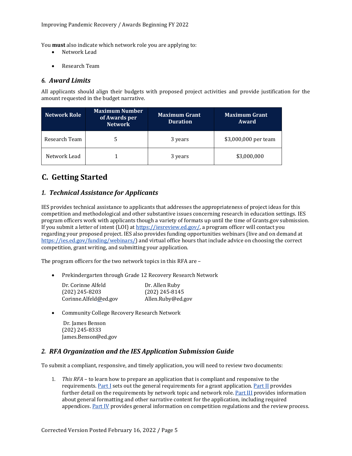You **must** also indicate which network role you are applying to:

- Network Lead
- Research Team

## <span id="page-7-0"></span>*6. Award Limits*

All applicants should align their budgets with proposed project activities and provide justification for the amount requested in the budget narrative.

| <b>Network Role</b> | <b>Maximum Number</b><br>of Awards per<br><b>Network</b> | <b>Maximum Grant</b><br><b>Duration</b> | <b>Maximum Grant</b><br>Award |
|---------------------|----------------------------------------------------------|-----------------------------------------|-------------------------------|
| Research Team       |                                                          | 3 years                                 | \$3,000,000 per team          |
| Network Lead        |                                                          | 3 years                                 | \$3,000,000                   |

## <span id="page-7-1"></span>**C. Getting Started**

## <span id="page-7-2"></span>*1. Technical Assistance for Applicants*

IES provides technical assistance to applicants that addresses the appropriateness of project ideas for this competition and methodological and other substantive issues concerning research in education settings. IES program officers work with applicants though a variety of formats up until the time of Grants.gov submission. If you submit a letter of intent (LOI) at [https://iesreview.ed.gov/,](https://iesreview.ed.gov/) a program officer will contact you regarding your proposed project. IES also provides funding opportunities webinars (live and on demand at [https://ies.ed.gov/funding/webinars/\)](https://ies.ed.gov/funding/webinars/) and virtual office hours that include advice on choosing the correct competition, grant writing, and submitting your application.

The program officers for the two network topics in this RFA are –

• Prekindergarten through Grade 12 Recovery Research Network

| Dr. Corinne Alfeld    | Dr. Allen Ruby    |
|-----------------------|-------------------|
| $(202)$ 245-8203      | $(202)$ 245-8145  |
| Corinne.Alfeld@ed.gov | Allen.Ruby@ed.gov |

• Community College Recovery Research Network

Dr. James Benson (202) 245-8333 James.Benso[n@ed.gov](mailto:Erin.Higgns@ed.gov)

## <span id="page-7-3"></span>*2. RFA Organization and the IES Application Submission Guide*

To submit a compliant, responsive, and timely application, you will need to review two documents:

1. *This RFA* – to learn how to prepare an application that is compliant and responsive to the requirements. [Part I](#page-3-0) sets out the general requirements for a grant application. [Part II](#page-9-0) provides further detail on the requirements by network topic and network role. [Part III](#page-31-0) provides information about general formatting and other narrative content for the application, including required appendices. [Part IV](#page-38-0) provides general information on competition regulations and the review process.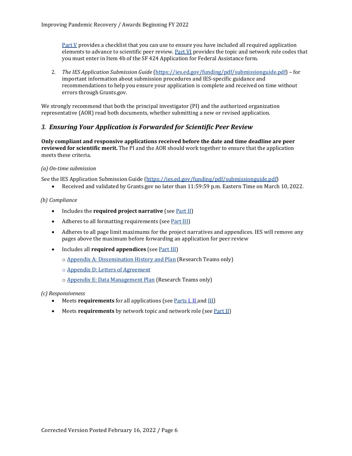[Part V](#page-45-0) provides a checklist that you can use to ensure you have included all required application elements to advance to scientific peer review. [Part VI](#page-47-0) provides the topic and network role codes that you must enter in Item 4b of the SF 424 Application for Federal Assistance form.

2. *The IES Application Submission Guide* [\(https://ies.ed.gov/funding/pdf/submissionguide.pdf\)](https://ies.ed.gov/funding/pdf/submissionguide.pdf) – for important information about submission procedures and IES-specific guidance and recommendations to help you ensure your application is complete and received on time without errors through Grants.gov.

We strongly recommend that both the principal investigator (PI) and the authorized organization representative (AOR) read both documents, whether submitting a new or revised application.

## <span id="page-8-0"></span>*3. Ensuring Your Application is Forwarded for Scientific Peer Review*

**Only compliant and responsive applications received before the date and time deadline are peer reviewed for scientific merit.** The PI and the AOR should work together to ensure that the application meets these criteria.

#### *(a) On-time submission*

See the IES Application Submission Guide [\(https://ies.ed.gov/funding/pdf/submissionguide.pdf\)](https://ies.ed.gov/funding/pdf/submissionguide.pdf)

• Received and validated by Grants.gov no later than 11:59:59 p.m. Eastern Time on March 10, 2022.

#### *(b) Compliance*

- Includes the **required project narrative** (see <u>Part II</u>)
- Adheres to all formatting requirements (see [Part III\)](#page-31-0)
- Adheres to all page limit maximums for the project narratives and appendices. IES will remove any pages above the maximum before forwarding an application for peer review
- Includes all **required appendices** (see [Part III\)](#page-31-0)
	- o Appendix [A: Dissemination History and Plan](#page-32-0) (Research Teams only)
	- o [Appendix D: Letters of Agreement](#page-33-2)
	- o [Appendix E: Data Management Plan](#page-34-0) (Research Teams only)

#### *(c) Responsiveness*

- Meets **requirements** for all applications (see **Parts [I,](#page-3-0) [II](#page-9-0)** and **III**)
- Meets **requirements** by network topic and network role (see <u>Part II</u>)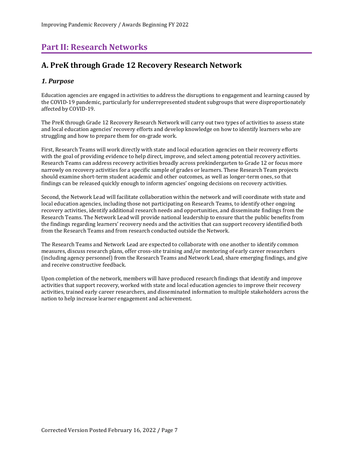## <span id="page-9-0"></span>**Part II: Research Networks**

## <span id="page-9-1"></span>**A. PreK through Grade 12 Recovery Research Network**

## <span id="page-9-2"></span>*1. Purpose*

Education agencies are engaged in activities to address the disruptions to engagement and learning caused by the COVID-19 pandemic, particularly for underrepresented student subgroups that were disproportionately affected by COVID-19.

The PreK through Grade 12 Recovery Research Network will carry out two types of activities to assess state and local education agencies' recovery efforts and develop knowledge on how to identify learners who are struggling and how to prepare them for on-grade work.

First, Research Teams will work directly with state and local education agencies on their recovery efforts with the goal of providing evidence to help direct, improve, and select among potential recovery activities. Research Teams can address recovery activities broadly across prekindergarten to Grade 12 or focus more narrowly on recovery activities for a specific sample of grades or learners. These Research Team projects should examine short-term student academic and other outcomes, as well as longer-term ones, so that findings can be released quickly enough to inform agencies' ongoing decisions on recovery activities.

Second, the Network Lead will facilitate collaboration within the network and will coordinate with state and local education agencies, including those not participating on Research Teams, to identify other ongoing recovery activities, identify additional research needs and opportunities, and disseminate findings from the Research Teams. The Network Lead will provide national leadership to ensure that the public benefits from the findings regarding learners' recovery needs and the activities that can support recovery identified both from the Research Teams and from research conducted outside the Network.

The Research Teams and Network Lead are expected to collaborate with one another to identify common measures, discuss research plans, offer cross-site training and/or mentoring of early career researchers (including agency personnel) from the Research Teams and Network Lead, share emerging findings, and give and receive constructive feedback.

Upon completion of the network, members will have produced research findings that identify and improve activities that support recovery, worked with state and local education agencies to improve their recovery activities, trained early career researchers, and disseminated information to multiple stakeholders across the nation to help increase learner engagement and achievement.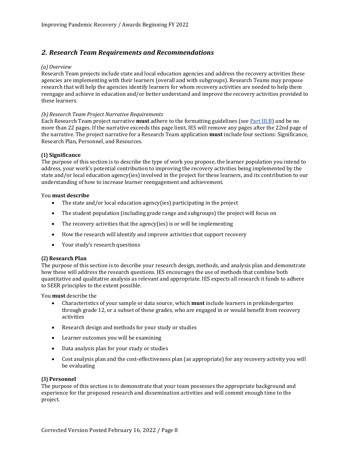## <span id="page-10-0"></span>*2. Research Team Requirements and Recommendations*

#### *(a) Overview*

Research Team projects include state and local education agencies and address the recovery activities these agencies are implementing with their learners (overall and with subgroups). Research Teams may propose research that will help the agencies identify learners for whom recovery activities are needed to help them reengage and achieve in education and/or better understand and improve the recovery activities provided to these learners.

#### *(b)Research Team Project Narrative Requirements*

Each Research Team project narrative **must** adhere to the formatting guidelines (se[e Part III.B\)](#page-31-2) and be no more than 22 pages. If the narrative exceeds this page limit, IES will remove any pages after the 22nd page of the narrative. The project narrative for a Research Team application **must** include four sections: Significance, Research Plan, Personnel, and Resources.

### **(1) Significance**

The purpose of this section is to describe the type of work you propose, the learner population you intend to address, your work's potential contribution to improving the recovery activities being implemented by the state and/or local education agency(ies) involved in the project for these learners, and its contribution to our understanding of how to increase learner reengagement and achievement.

# You **must describe**

- The state and/or local education agency(ies) participating in the project
- The student population (including grade range and subgroups) the project will focus on
- The recovery activities that the agency(ies) is or will be implementing
- How the research will identify and improve activities that support recovery
- Your study's research questions

### **(2) Research Plan**

The purpose of this section is to describe your research design, methods, and analysis plan and demonstrate how these will address the research questions. IES encourages the use of methods that combine both quantitative and qualitative analysis as relevant and appropriate. IES expects all research it funds to adhere to SEER principles to the extent possible.

You **must** describe the

- Characteristics of your sample or data source, which **must** include learners in prekindergarten through grade 12, or a subset of these grades, who are engaged in or would benefit from recovery activities
- Research design and methods for your study or studies
- Learner outcomes you will be examining
- Data analysis plan for your study or studies
- Cost analysis plan and the cost-effectiveness plan (as appropriate) for any recovery activity you will be evaluating

#### **(3) Personnel**

The purpose of this section is to demonstrate that your team possesses the appropriate background and experience for the proposed research and dissemination activities and will commit enough time to the project.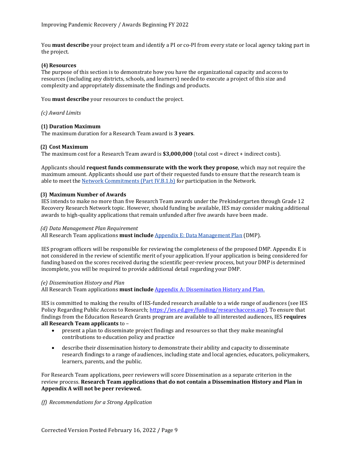You **must describe** your project team and identify a PI or co-PI from every state or local agency taking part in the project.

#### **(4) Resources**

The purpose of this section is to demonstrate how you have the organizational capacity and access to resources (including any districts, schools, and learners) needed to execute a project of this size and complexity and appropriately disseminate the findings and products.

You **must describe** your resources to conduct the project.

*(c) Award Limits*

#### **(1) Duration Maximum**

The maximum duration for a Research Team award is **3 years**.

#### **(2) Cost Maximum**

The maximum cost for a Research Team award is **\$3,000,000** (total cost = direct + indirect costs).

Applicants should **request funds commensurate with the work they propose**, which may not require the maximum amount. Applicants should use part of their requested funds to ensure that the research team is able to meet th[e Network Commitments \(Part IV.B.1.b\)](#page-39-4) for participation in the Network.

#### **(3) Maximum Number of Awards**

IES intends to make no more than five Research Team awards under the Prekindergarten through Grade 12 Recovery Research Network topic. However, should funding be available, IES may consider making additional awards to high-quality applications that remain unfunded after five awards have been made.

#### *(d) Data Management Plan Requirement*

All Research Team applications **must include** [Appendix E: Data Management Plan](#page-34-0) (DMP).

IES program officers will be responsible for reviewing the completeness of the proposed DMP. Appendix E is not considered in the review of scientific merit of your application. If your application is being considered for funding based on the scores received during the scientific peer-review process, but your DMP is determined incomplete, you will be required to provide additional detail regarding your DMP.

#### *(e) Dissemination History and Plan*

All Research Team applications **must include** [Appendix A: Dissemination History and](#page-32-0) Plan.

IES is committed to making the results of IES-funded research available to a wide range of audiences (see IES Policy Regarding Public Access to Research[; https://ies.ed.gov/funding/researchaccess.asp\)](https://ies.ed.gov/funding/researchaccess.asp). To ensure that findings from the Education Research Grants program are available to all interested audiences, IES **requires all Research Team applicants** to –

- present a plan to disseminate project findings and resources so that they make meaningful contributions to education policy and practice
- describe their dissemination history to demonstrate their ability and capacity to disseminate research findings to a range of audiences, including state and local agencies, educators, policymakers, learners, parents, and the public.

For Research Team applications, peer reviewers will score Dissemination as a separate criterion in the review process. **Research Team applications that do not contain a Dissemination History and Plan in Appendix A will not be peer reviewed.**

#### *(f) Recommendations for a Strong Application*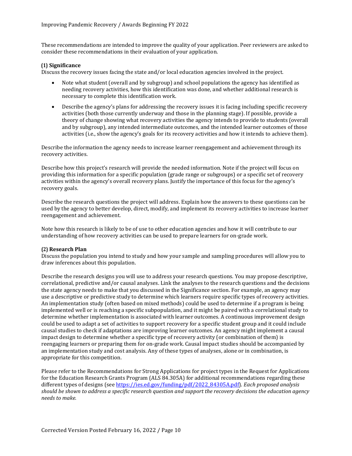These recommendations are intended to improve the quality of your application. Peer reviewers are asked to consider these recommendations in their evaluation of your application.

#### **(1) Significance**

Discuss the recovery issues facing the state and/or local education agencies involved in the project.

- Note what student (overall and by subgroup) and school populations the agency has identified as needing recovery activities, how this identification was done, and whether additional research is necessary to complete this identification work.
- Describe the agency's plans for addressing the recovery issues it is facing including specific recovery activities (both those currently underway and those in the planning stage). If possible, provide a theory of change showing what recovery activities the agency intends to provide to students (overall and by subgroup), any intended intermediate outcomes, and the intended learner outcomes of those activities (i.e., show the agency's goals for its recovery activities and how it intends to achieve them).

Describe the information the agency needs to increase learner reengagement and achievement through its recovery activities.

Describe how this project's research will provide the needed information. Note if the project will focus on providing this information for a specific population (grade range or subgroups) or a specific set of recovery activities within the agency's overall recovery plans. Justify the importance of this focus for the agency's recovery goals.

Describe the research questions the project will address. Explain how the answers to these questions can be used by the agency to better develop, direct, modify, and implement its recovery activities to increase learner reengagement and achievement.

Note how this research is likely to be of use to other education agencies and how it will contribute to our understanding of how recovery activities can be used to prepare learners for on-grade work.

#### **(2) Research Plan**

Discuss the population you intend to study and how your sample and sampling procedures will allow you to draw inferences about this population.

Describe the research designs you will use to address your research questions. You may propose descriptive, correlational, predictive and/or causal analyses. Link the analyses to the research questions and the decisions the state agency needs to make that you discussed in the Significance section. For example, an agency may use a descriptive or predictive study to determine which learners require specific types of recovery activities. An implementation study (often based on mixed methods) could be used to determine if a program is being implemented well or is reaching a specific subpopulation, and it might be paired with a correlational study to determine whether implementation is associated with learner outcomes. A continuous improvement design could be used to adapt a set of activities to support recovery for a specific student group and it could include causal studies to check if adaptations are improving learner outcomes. An agency might implement a causal impact design to determine whether a specific type of recovery activity (or combination of them) is reengaging learners or preparing them for on-grade work. Causal impact studies should be accompanied by an implementation study and cost analysis. Any of these types of analyses, alone or in combination, is appropriate for this competition.

Please refer to the Recommendations for Strong Applications for project types in the Request for Applications for the Education Research Grants Program (ALS 84.305A) for additional recommendations regarding these different types of designs (see [https://ies.ed.gov/funding/pdf/2022\\_84305A.pdf\)](https://ies.ed.gov/funding/pdf/2022_84305A.pdf). *Each proposed analysis should be shown to address a specific research question and support the recovery decisions the education agency needs to make.*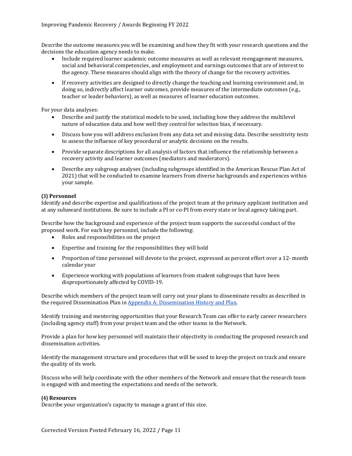Describe the outcome measures you will be examining and how they fit with your research questions and the decisions the education agency needs to make.

- Include required learner academic outcome measures as well as relevant reengagement measures, social and behavioral competencies, and employment and earnings outcomes that are of interest to the agency. These measures should align with the theory of change for the recovery activities.
- If recovery activities are designed to directly change the teaching and learning environment and, in doing so, indirectly affect learner outcomes, provide measures of the intermediate outcomes (e.g., teacher or leader behaviors), as well as measures of learner education outcomes.

For your data analyses:

- Describe and justify the statistical models to be used, including how they address the multilevel nature of education data and how well they control for selection bias, if necessary.
- Discuss how you will address exclusion from any data set and missing data. Describe sensitivity tests to assess the influence of key procedural or analytic decisions on the results.
- Provide separate descriptions for all analysis of factors that influence the relationship between a recovery activity and learner outcomes (mediators and moderators).
- Describe any subgroup analyses (including subgroups identified in the American Rescue Plan Act of 2021) that will be conducted to examine learners from diverse backgrounds and experiences within your sample.

#### **(3) Personnel**

Identify and describe expertise and qualifications of the project team at the primary applicant institution and at any subaward institutions. Be sure to include a PI or co-PI from every state or local agency taking part.

Describe how the background and experience of the project team supports the successful conduct of the proposed work. For each key personnel, include the following:

- Roles and responsibilities on the project
- Expertise and training for the responsibilities they will hold
- Proportion of time personnel will devote to the project, expressed as percent effort over a 12- month calendar year
- Experience working with populations of learners from student subgroups that have been disproportionately affected by COVID-19.

Describe which members of the project team will carry out your plans to disseminate results as described in the required Dissemination Plan in [Appendix A: Dissemination History and Plan.](#page-32-0)

Identify training and mentoring opportunities that your Research Team can offer to early career researchers (including agency staff) from your project team and the other teams in the Network.

Provide a plan for how key personnel will maintain their objectivity in conducting the proposed research and dissemination activities.

Identify the management structure and procedures that will be used to keep the project on track and ensure the quality of its work.

Discuss who will help coordinate with the other members of the Network and ensure that the research team is engaged with and meeting the expectations and needs of the network.

#### **(4) Resources**

Describe your organization's capacity to manage a grant of this size.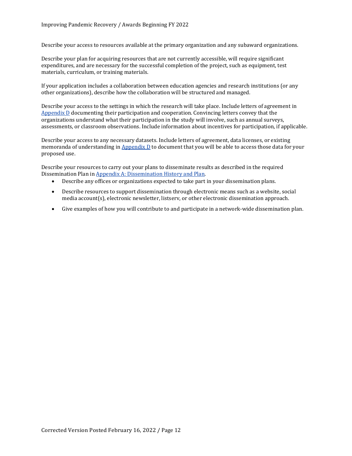Describe your access to resources available at the primary organization and any subaward organizations.

Describe your plan for acquiring resources that are not currently accessible, will require significant expenditures, and are necessary for the successful completion of the project, such as equipment, test materials, curriculum, or training materials.

If your application includes a collaboration between education agencies and research institutions (or any other organizations), describe how the collaboration will be structured and managed.

Describe your access to the settings in which the research will take place. Include letters of agreement in [Appendix D](#page-33-2) documenting their participation and cooperation. Convincing letters convey that the organizations understand what their participation in the study will involve, such as annual surveys, assessments, or classroom observations. Include information about incentives for participation, if applicable.

Describe your access to any necessary datasets. Include letters of agreement, data licenses, or existing memoranda of understanding in  $\Delta$ ppendix  $D$  to document that you will be able to access those data for your proposed use.

Describe your resources to carry out your plans to disseminate results as described in the required Dissemination Plan i[n Appendix A: Dissemination History and Plan.](#page-32-0)<br>• Describe any offices or organizations expected to take part

- Describe any offices or organizations expected to take part in your dissemination plans.
- Describe resources to support dissemination through electronic means such as a website, social media account(s), electronic newsletter, listserv, or other electronic dissemination approach.
- Give examples of how you will contribute to and participate in a network-wide dissemination plan.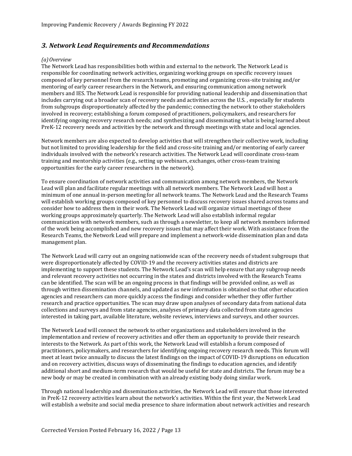## <span id="page-15-0"></span>*3. Network Lead Requirements and Recommendations*

#### *(a)Overview*

The Network Lead has responsibilities both within and external to the network. The Network Lead is responsible for coordinating network activities, organizing working groups on specific recovery issues composed of key personnel from the research teams, promoting and organizing cross-site training and/or mentoring of early career researchers in the Network, and ensuring communication among network members and IES. The Network Lead is responsible for providing national leadership and dissemination that includes carrying out a broader scan of recovery needs and activities across the U.S. , especially for students from subgroups disproportionately affected by the pandemic; connecting the network to other stakeholders involved in recovery; establishing a forum composed of practitioners, policymakers, and researchers for identifying ongoing recovery research needs; and synthesizing and disseminating what is being learned about PreK-12 recovery needs and activities by the network and through meetings with state and local agencies.

Network members are also expected to develop activities that will strengthen their collective work, including but not limited to providing leadership for the field and cross-site training and/or mentoring of early career individuals involved with the network's research activities. The Network Lead will coordinate cross-team training and mentorship activities (e.g., setting up webinars, exchanges, other cross-team training opportunities for the early career researchers in the network).

To ensure coordination of network activities and communication among network members, the Network Lead will plan and facilitate regular meetings with all network members. The Network Lead will host a minimum of one annual in-person meeting for all network teams. The Network Lead and the Research Teams will establish working groups composed of key personnel to discuss recovery issues shared across teams and consider how to address them in their work. The Network Lead will organize virtual meetings of these working groups approximately quarterly. The Network Lead will also establish informal regular communication with network members, such as through a newsletter, to keep all network members informed of the work being accomplished and new recovery issues that may affect their work. With assistance from the Research Teams, the Network Lead will prepare and implement a network-wide dissemination plan and data management plan.

The Network Lead will carry out an ongoing nationwide scan of the recovery needs of student subgroups that were disproportionately affected by COVID-19 and the recovery activities states and districts are implementing to support these students. The Network Lead's scan will help ensure that any subgroup needs and relevant recovery activities not occurring in the states and districts involved with the Research Teams can be identified. The scan will be an ongoing process in that findings will be provided online, as well as through written dissemination channels, and updated as new information is obtained so that other education agencies and researchers can more quickly access the findings and consider whether they offer further research and practice opportunities. The scan may draw upon analyses of secondary data from national data collections and surveys and from state agencies, analyses of primary data collected from state agencies interested in taking part, available literature, website reviews, interviews and surveys, and other sources.

The Network Lead will connect the network to other organizations and stakeholders involved in the implementation and review of recovery activities and offer them an opportunity to provide their research interests to the Network. As part of this work, the Network Lead will establish a forum composed of practitioners, policymakers, and researchers for identifying ongoing recovery research needs. This forum will meet at least twice annually to discuss the latest findings on the impact of COVID-19 disruptions on education and on recovery activities, discuss ways of disseminating the findings to education agencies, and identify additional short and medium-term research that would be useful for state and districts. The forum may be a new body or may be created in combination with an already existing body doing similar work.

Through national leadership and dissemination activities, the Network Lead will ensure that those interested in PreK-12 recovery activities learn about the network's activities. Within the first year, the Network Lead will establish a website and social media presence to share information about network activities and research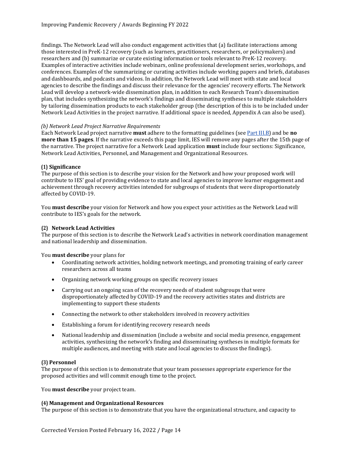findings. The Network Lead will also conduct engagement activities that (a) facilitate interactions among those interested in PreK-12 recovery (such as learners, practitioners, researchers, or policymakers) and researchers and (b) summarize or curate existing information or tools relevant to PreK-12 recovery. Examples of interactive activities include webinars, online professional development series, workshops, and conferences. Examples of the summarizing or curating activities include working papers and briefs, databases and dashboards, and podcasts and videos. In addition, the Network Lead will meet with state and local agencies to describe the findings and discuss their relevance for the agencies' recovery efforts. The Network Lead will develop a network-wide dissemination plan, in addition to each Research Team's dissemination plan, that includes synthesizing the network's findings and disseminating syntheses to multiple stakeholders by tailoring dissemination products to each stakeholder group (the description of this is to be included under Network Lead Activities in the project narrative. If additional space is needed, Appendix A can also be used).

#### *(b) Network Lead Project Narrative Requirements*

Each Network Lead project narrative **must** adhere to the formatting guidelines (see [Part III.B\)](#page-31-2) and be **no more than 15 pages**. If the narrative exceeds this page limit, IES will remove any pages after the 15th page of the narrative. The project narrative for a Network Lead application **must** include four sections: Significance, Network Lead Activities, Personnel, and Management and Organizational Resources.

#### **(1) Significance**

The purpose of this section is to describe your vision for the Network and how your proposed work will contribute to IES' goal of providing evidence to state and local agencies to improve learner engagement and achievement through recovery activities intended for subgroups of students that were disproportionately affected by COVID-19.

You **must describe** your vision for Network and how you expect your activities as the Network Lead will contribute to IES's goals for the network.

#### **(2) Network Lead Activities**

The purpose of this section is to describe the Network Lead's activities in network coordination management and national leadership and dissemination.

You **must describe** your plans for

- Coordinating network activities, holding network meetings, and promoting training of early career researchers across all teams
- Organizing network working groups on specific recovery issues
- Carrying out an ongoing scan of the recovery needs of student subgroups that were disproportionately affected by COVID-19 and the recovery activities states and districts are implementing to support these students
- Connecting the network to other stakeholders involved in recovery activities
- Establishing a forum for identifying recovery research needs
- National leadership and dissemination (include a website and social media presence, engagement activities, synthesizing the network's finding and disseminating syntheses in multiple formats for multiple audiences, and meeting with state and local agencies to discuss the findings).

#### **(3) Personnel**

The purpose of this section is to demonstrate that your team possesses appropriate experience for the proposed activities and will commit enough time to the project.

You **must describe** your project team.

#### **(4) Management and Organizational Resources**

The purpose of this section is to demonstrate that you have the organizational structure, and capacity to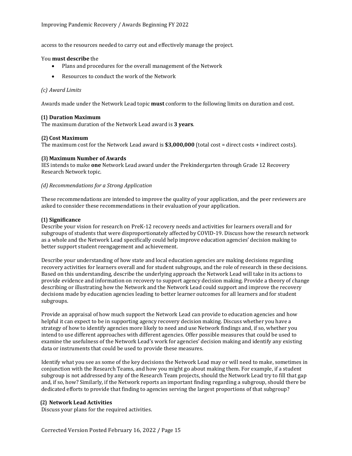access to the resources needed to carry out and effectively manage the project.

# You **must describe** the

- Plans and procedures for the overall management of the Network
- Resources to conduct the work of the Network

#### *(c) Award Limits*

Awards made under the Network Lead topic **must** conform to the following limits on duration and cost.

#### **(1) Duration Maximum**

The maximum duration of the Network Lead award is **3 years**.

#### **(2) Cost Maximum**

The maximum cost for the Network Lead award is **\$3,000,000** (total cost = direct costs + indirect costs).

#### **(3) Maximum Number of Awards**

IES intends to make **one** Network Lead award under the Prekindergarten through Grade 12 Recovery Research Network topic.

#### *(d) Recommendations for a Strong Application*

These recommendations are intended to improve the quality of your application, and the peer reviewers are asked to consider these recommendations in their evaluation of your application.

#### **(1) Significance**

Describe your vision for research on PreK-12 recovery needs and activities for learners overall and for subgroups of students that were disproportionately affected by COVID-19. Discuss how the research network as a whole and the Network Lead specifically could help improve education agencies' decision making to better support student reengagement and achievement.

Describe your understanding of how state and local education agencies are making decisions regarding recovery activities for learners overall and for student subgroups, and the role of research in these decisions. Based on this understanding, describe the underlying approach the Network Lead will take in its actions to provide evidence and information on recovery to support agency decision making. Provide a theory of change describing or illustrating how the Network and the Network Lead could support and improve the recovery decisions made by education agencies leading to better learner outcomes for all learners and for student subgroups.

Provide an appraisal of how much support the Network Lead can provide to education agencies and how helpful it can expect to be in supporting agency recovery decision making. Discuss whether you have a strategy of how to identify agencies more likely to need and use Network findings and, if so, whether you intend to use different approaches with different agencies. Offer possible measures that could be used to examine the usefulness of the Network Lead's work for agencies' decision making and identify any existing data or instruments that could be used to provide these measures.

Identify what you see as some of the key decisions the Network Lead may or will need to make, sometimes in conjunction with the Research Teams, and how you might go about making them. For example, if a student subgroup is not addressed by any of the Research Team projects, should the Network Lead try to fill that gap and, if so, how? Similarly, if the Network reports an important finding regarding a subgroup, should there be dedicated efforts to provide that finding to agencies serving the largest proportions of that subgroup?

#### **(2) Network Lead Activities**

Discuss your plans for the required activities.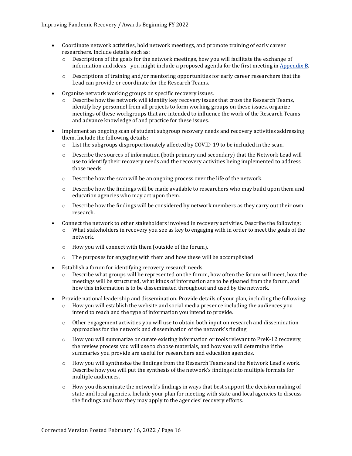- Coordinate network activities, hold network meetings, and promote training of early career researchers. Include details such as:
	- $\circ$  Descriptions of the goals for the network meetings, how you will facilitate the exchange of information and ideas - you might include a proposed agenda for the first meeting in [Appendix B.](#page-33-0)
	- $\circ$  Descriptions of training and/or mentoring opportunities for early career researchers that the Lead can provide or coordinate for the Research Teams.
- Organize network working groups on specific recovery issues.
	- o Describe how the network will identify key recovery issues that cross the Research Teams, identify key personnel from all projects to form working groups on these issues, organize meetings of these workgroups that are intended to influence the work of the Research Teams and advance knowledge of and practice for these issues.
- Implement an ongoing scan of student subgroup recovery needs and recovery activities addressing them. Include the following details:<br> $\circ$  List the subgroups disproportic
	- List the subgroups disproportionately affected by COVID-19 to be included in the scan.
	- o Describe the sources of information (both primary and secondary) that the Network Lead will use to identify their recovery needs and the recovery activities being implemented to address those needs.
	- $\circ$  Describe how the scan will be an ongoing process over the life of the network.
	- $\circ$  Describe how the findings will be made available to researchers who may build upon them and education agencies who may act upon them.
	- o Describe how the findings will be considered by network members as they carry out their own research.
- Connect the network to other stakeholders involved in recovery activities. Describe the following:
	- $\circ$  What stakeholders in recovery you see as key to engaging with in order to meet the goals of the network.
	- o How you will connect with them (outside of the forum).
	- o The purposes for engaging with them and how these will be accomplished.
- Establish a forum for identifying recovery research needs.
	- $\circ$  Describe what groups will be represented on the forum, how often the forum will meet, how the meetings will be structured, what kinds of information are to be gleaned from the forum, and how this information is to be disseminated throughout and used by the network.
- Provide national leadership and dissemination. Provide details of your plan, including the following:
	- $\circ$  How you will establish the website and social media presence including the audiences you intend to reach and the type of information you intend to provide.
	- $\circ$  Other engagement activities you will use to obtain both input on research and dissemination approaches for the network and dissemination of the network's finding.
	- o How you will summarize or curate existing information or tools relevant to PreK-12 recovery, the review process you will use to choose materials, and how you will determine if the summaries you provide are useful for researchers and education agencies.
	- o How you will synthesize the findings from the Research Teams and the Network Lead's work. Describe how you will put the synthesis of the network's findings into multiple formats for multiple audiences.
	- $\circ$  How you disseminate the network's findings in ways that best support the decision making of state and local agencies. Include your plan for meeting with state and local agencies to discuss the findings and how they may apply to the agencies' recovery efforts.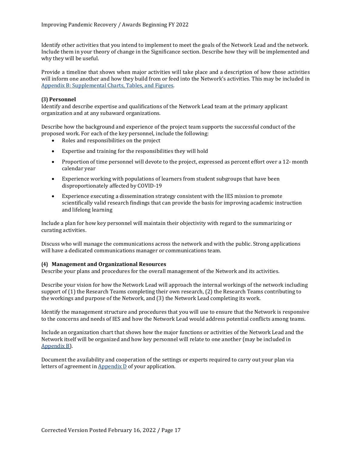Identify other activities that you intend to implement to meet the goals of the Network Lead and the network. Include them in your theory of change in the Significance section. Describe how they will be implemented and why they will be useful.

Provide a timeline that shows when major activities will take place and a description of how those activities will inform one another and how they build from or feed into the Network's activities. This may be included in [Appendix B: Supplemental Charts, Tables, and Figures.](#page-33-0)

#### **(3) Personnel**

Identify and describe expertise and qualifications of the Network Lead team at the primary applicant organization and at any subaward organizations.

Describe how the background and experience of the project team supports the successful conduct of the proposed work. For each of the key personnel, include the following:

- Roles and responsibilities on the project
- Expertise and training for the responsibilities they will hold
- Proportion of time personnel will devote to the project, expressed as percent effort over a 12- month calendar year
- Experience working with populations of learners from student subgroups that have been disproportionately affected by COVID-19
- Experience executing a dissemination strategy consistent with the IES mission to promote scientifically valid research findings that can provide the basis for improving academic instruction and lifelong learning

Include a plan for how key personnel will maintain their objectivity with regard to the summarizing or curating activities.

Discuss who will manage the communications across the network and with the public. Strong applications will have a dedicated communications manager or communications team.

#### **(4) Management and Organizational Resources**

Describe your plans and procedures for the overall management of the Network and its activities.

Describe your vision for how the Network Lead will approach the internal workings of the network including support of (1) the Research Teams completing their own research, (2) the Research Teams contributing to the workings and purpose of the Network, and (3) the Network Lead completing its work.

Identify the management structure and procedures that you will use to ensure that the Network is responsive to the concerns and needs of IES and how the Network Lead would address potential conflicts among teams.

Include an organization chart that shows how the major functions or activities of the Network Lead and the Network itself will be organized and how key personnel will relate to one another (may be included in [Appendix B\)](#page-33-0).

Document the availability and cooperation of the settings or experts required to carry out your plan via letters of agreement in [Appendix D](#page-33-2) of your application.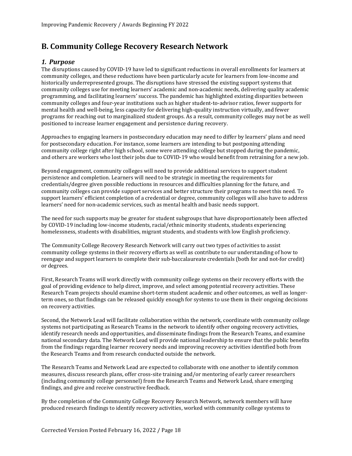## <span id="page-20-0"></span>**B. Community College Recovery Research Network**

## <span id="page-20-1"></span>*1. Purpose*

The disruptions caused by COVID-19 have led to significant reductions in overall enrollments for learners at community colleges, and these reductions have been particularly acute for learners from low-income and historically underrepresented groups. The disruptions have stressed the existing support systems that community colleges use for meeting learners' academic and non-academic needs, delivering quality academic programming, and facilitating learners' success. The pandemic has highlighted existing disparities between community colleges and four-year institutions such as higher student-to-advisor ratios, fewer supports for mental health and well-being, less capacity for delivering high-quality instruction virtually, and fewer programs for reaching out to marginalized student groups. As a result, community colleges may not be as well positioned to increase learner engagement and persistence during recovery.

Approaches to engaging learners in postsecondary education may need to differ by learners' plans and need for postsecondary education. For instance, some learners are intending to but postponing attending community college right after high school, some were attending college but stopped during the pandemic, and others are workers who lost their jobs due to COVID-19 who would benefit from retraining for a new job.

Beyond engagement, community colleges will need to provide additional services to support student persistence and completion. Learners will need to be strategic in meeting the requirements for credentials/degree given possible reductions in resources and difficulties planning for the future, and community colleges can provide support services and better structure their programs to meet this need. To support learners' efficient completion of a credential or degree, community colleges will also have to address learners' need for non-academic services, such as mental health and basic needs support.

The need for such supports may be greater for student subgroups that have disproportionately been affected by COVID-19 including low-income students, racial/ethnic minority students, students experiencing homelessness, students with disabilities, migrant students, and students with low English proficiency.

The Community College Recovery Research Network will carry out two types of activities to assist community college systems in their recovery efforts as well as contribute to our understanding of how to reengage and support learners to complete their sub-baccalaureate credentials (both for and not-for credit) or degrees.

First, Research Teams will work directly with community college systems on their recovery efforts with the goal of providing evidence to help direct, improve, and select among potential recovery activities. These Research Team projects should examine short-term student academic and other outcomes, as well as longerterm ones, so that findings can be released quickly enough for systems to use them in their ongoing decisions on recovery activities.

Second, the Network Lead will facilitate collaboration within the network, coordinate with community college systems not participating as Research Teams in the network to identify other ongoing recovery activities, identify research needs and opportunities, and disseminate findings from the Research Teams, and examine national secondary data. The Network Lead will provide national leadership to ensure that the public benefits from the findings regarding learner recovery needs and improving recovery activities identified both from the Research Teams and from research conducted outside the network.

The Research Teams and Network Lead are expected to collaborate with one another to identify common measures, discuss research plans, offer cross-site training and/or mentoring of early career researchers (including community college personnel) from the Research Teams and Network Lead, share emerging findings, and give and receive constructive feedback.

By the completion of the Community College Recovery Research Network, network members will have produced research findings to identify recovery activities, worked with community college systems to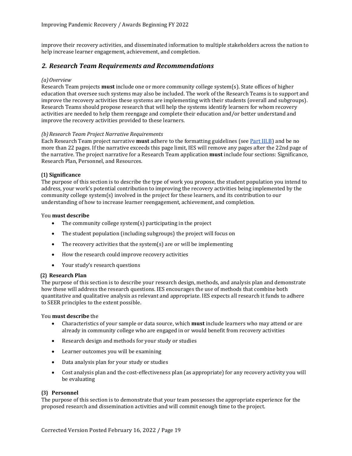improve their recovery activities, and disseminated information to multiple stakeholders across the nation to help increase learner engagement, achievement, and completion.

## <span id="page-21-0"></span>*2. Research Team Requirements and Recommendations*

#### *(a)Overview*

Research Team projects **must** include one or more community college system(s). State offices of higher education that oversee such systems may also be included. The work of the Research Teams is to support and improve the recovery activities these systems are implementing with their students (overall and subgroups). Research Teams should propose research that will help the systems identify learners for whom recovery activities are needed to help them reengage and complete their education and/or better understand and improve the recovery activities provided to these learners.

#### *(b)Research Team Project Narrative Requirements*

Each Research Team project narrative **must** adhere to the formatting guidelines (se[e Part III.B\)](#page-31-2) and be no more than 22 pages. If the narrative exceeds this page limit, IES will remove any pages after the 22nd page of the narrative. The project narrative for a Research Team application **must** include four sections: Significance, Research Plan, Personnel, and Resources.

#### **(1) Significance**

The purpose of this section is to describe the type of work you propose, the student population you intend to address, your work's potential contribution to improving the recovery activities being implemented by the community college system(s) involved in the project for these learners, and its contribution to our understanding of how to increase learner reengagement, achievement, and completion.

#### You **must describe**

- The community college system(s) participating in the project
- The student population (including subgroups) the project will focus on
- The recovery activities that the system(s) are or will be implementing
- How the research could improve recovery activities
- Your study's research questions

#### **(2) Research Plan**

The purpose of this section is to describe your research design, methods, and analysis plan and demonstrate how these will address the research questions. IES encourages the use of methods that combine both quantitative and qualitative analysis as relevant and appropriate. IES expects all research it funds to adhere to SEER principles to the extent possible.

#### You **must describe** the

- Characteristics of your sample or data source, which **must** include learners who may attend or are already in community college who are engaged in or would benefit from recovery activities
- Research design and methods for your study or studies
- Learner outcomes you will be examining
- Data analysis plan for your study or studies
- Cost analysis plan and the cost-effectiveness plan (as appropriate) for any recovery activity you will be evaluating

#### **(3) Personnel**

The purpose of this section is to demonstrate that your team possesses the appropriate experience for the proposed research and dissemination activities and will commit enough time to the project.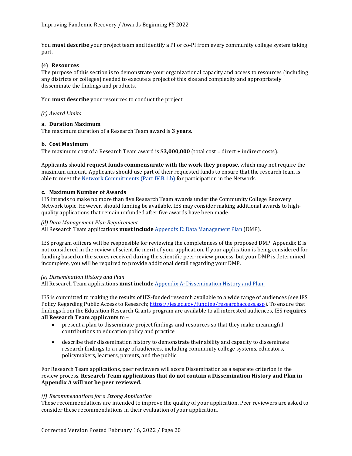You **must describe** your project team and identify a PI or co-PI from every community college system taking part.

#### **(4) Resources**

The purpose of this section is to demonstrate your organizational capacity and access to resources (including any districts or colleges) needed to execute a project of this size and complexity and appropriately disseminate the findings and products.

You **must describe** your resources to conduct the project.

*(c) Award Limits*

#### **a. Duration Maximum**

The maximum duration of a Research Team award is **3 years**.

#### **b. Cost Maximum**

The maximum cost of a Research Team award is **\$3,000,000** (total cost = direct + indirect costs).

Applicants should **request funds commensurate with the work they propose**, which may not require the maximum amount. Applicants should use part of their requested funds to ensure that the research team is able to meet th[e Network Commitments \(Part IV.B.1.b\)](#page-39-4) for participation in the Network.

#### **c. Maximum Number of Awards**

IES intends to make no more than five Research Team awards under the Community College Recovery Network topic. However, should funding be available, IES may consider making additional awards to highquality applications that remain unfunded after five awards have been made.

#### *(d) Data Management Plan Requirement*

All Research Team applications **must include** [Appendix E: Data Management Plan](#page-34-0) (DMP).

IES program officers will be responsible for reviewing the completeness of the proposed DMP. Appendix E is not considered in the review of scientific merit of your application. If your application is being considered for funding based on the scores received during the scientific peer-review process, but your DMP is determined incomplete, you will be required to provide additional detail regarding your DMP.

#### *(e) Dissemination History and Plan*

All Research Team applications **must include** Appendix A: Dissemination History and Plan.

IES is committed to making the results of IES-funded research available to a wide range of audiences (see IES Policy Regarding Public Access to Research[; https://ies.ed.gov/funding/researchaccess.asp\)](https://ies.ed.gov/funding/researchaccess.asp). To ensure that findings from the Education Research Grants program are available to all interested audiences, IES **requires all Research Team applicants** to –

- present a plan to disseminate project findings and resources so that they make meaningful contributions to education policy and practice
- describe their dissemination history to demonstrate their ability and capacity to disseminate research findings to a range of audiences, including community college systems, educators, policymakers, learners, parents, and the public.

For Research Team applications, peer reviewers will score Dissemination as a separate criterion in the review process. **Research Team applications that do not contain a Dissemination History and Plan in Appendix A will not be peer reviewed.**

#### *(f) Recommendations for a Strong Application*

These recommendations are intended to improve the quality of your application. Peer reviewers are asked to consider these recommendations in their evaluation of your application.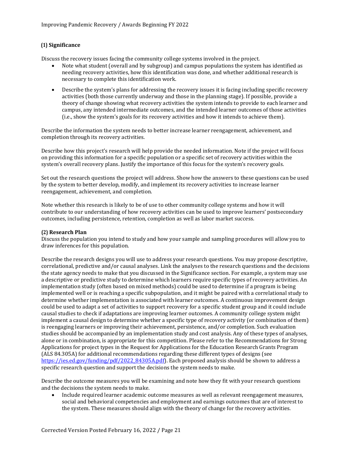#### **(1) Significance**

Discuss the recovery issues facing the community college systems involved in the project.

- Note what student (overall and by subgroup) and campus populations the system has identified as needing recovery activities, how this identification was done, and whether additional research is necessary to complete this identification work.
- Describe the system's plans for addressing the recovery issues it is facing including specific recovery activities (both those currently underway and those in the planning stage). If possible, provide a theory of change showing what recovery activities the system intends to provide to each learner and campus, any intended intermediate outcomes, and the intended learner outcomes of those activities (i.e., show the system's goals for its recovery activities and how it intends to achieve them).

Describe the information the system needs to better increase learner reengagement, achievement, and completion through its recovery activities.

Describe how this project's research will help provide the needed information. Note if the project will focus on providing this information for a specific population or a specific set of recovery activities within the system's overall recovery plans. Justify the importance of this focus for the system's recovery goals.

Set out the research questions the project will address. Show how the answers to these questions can be used by the system to better develop, modify, and implement its recovery activities to increase learner reengagement, achievement, and completion.

Note whether this research is likely to be of use to other community college systems and how it will contribute to our understanding of how recovery activities can be used to improve learners' postsecondary outcomes, including persistence, retention, completion as well as labor market success.

#### **(2) Research Plan**

Discuss the population you intend to study and how your sample and sampling procedures will allow you to draw inferences for this population.

Describe the research designs you will use to address your research questions. You may propose descriptive, correlational, predictive and/or causal analyses. Link the analyses to the research questions and the decisions the state agency needs to make that you discussed in the Significance section. For example, a system may use a descriptive or predictive study to determine which learners require specific types of recovery activities. An implementation study (often based on mixed methods) could be used to determine if a program is being implemented well or is reaching a specific subpopulation, and it might be paired with a correlational study to determine whether implementation is associated with learner outcomes. A continuous improvement design could be used to adapt a set of activities to support recovery for a specific student group and it could include causal studies to check if adaptations are improving learner outcomes. A community college system might implement a causal design to determine whether a specific type of recovery activity (or combination of them) is reengaging learners or improving their achievement, persistence, and/or completion. Such evaluation studies should be accompanied by an implementation study and cost analysis. Any of these types of analyses, alone or in combination, is appropriate for this competition. Please refer to the Recommendations for Strong Applications for project types in the Request for Applications for the Education Research Grants Program (ALS 84.305A) for additional recommendations regarding these different types of designs (see [https://ies.ed.gov/funding/pdf/2022\\_84305A.pdf\)](https://ies.ed.gov/funding/pdf/2022_84305A.pdf). Each proposed analysis should be shown to address a specific research question and support the decisions the system needs to make.

Describe the outcome measures you will be examining and note how they fit with your research questions and the decisions the system needs to make.

• Include required learner academic outcome measures as well as relevant reengagement measures, social and behavioral competencies and employment and earnings outcomes that are of interest to the system. These measures should align with the theory of change for the recovery activities.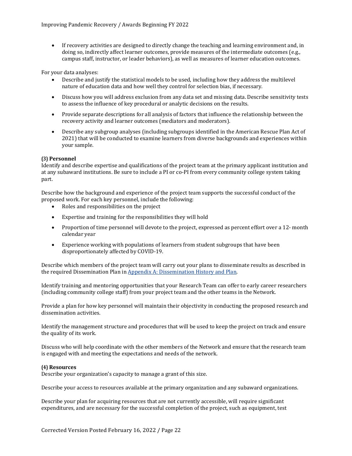• If recovery activities are designed to directly change the teaching and learning environment and, in doing so, indirectly affect learner outcomes, provide measures of the intermediate outcomes (e.g., campus staff, instructor, or leader behaviors), as well as measures of learner education outcomes.

For your data analyses:

- Describe and justify the statistical models to be used, including how they address the multilevel nature of education data and how well they control for selection bias, if necessary.
- Discuss how you will address exclusion from any data set and missing data. Describe sensitivity tests to assess the influence of key procedural or analytic decisions on the results.
- Provide separate descriptions for all analysis of factors that influence the relationship between the recovery activity and learner outcomes (mediators and moderators).
- Describe any subgroup analyses (including subgroups identified in the American Rescue Plan Act of 2021) that will be conducted to examine learners from diverse backgrounds and experiences within your sample.

#### **(3) Personnel**

Identify and describe expertise and qualifications of the project team at the primary applicant institution and at any subaward institutions. Be sure to include a PI or co-PI from every community college system taking part.

Describe how the background and experience of the project team supports the successful conduct of the proposed work. For each key personnel, include the following:

- Roles and responsibilities on the project
- Expertise and training for the responsibilities they will hold
- Proportion of time personnel will devote to the project, expressed as percent effort over a 12- month calendar year
- Experience working with populations of learners from student subgroups that have been disproportionately affected by COVID-19.

Describe which members of the project team will carry out your plans to disseminate results as described in the required Dissemination Plan in [Appendix A: Dissemination History and Plan.](#page-32-0)

Identify training and mentoring opportunities that your Research Team can offer to early career researchers (including community college staff) from your project team and the other teams in the Network.

Provide a plan for how key personnel will maintain their objectivity in conducting the proposed research and dissemination activities.

Identify the management structure and procedures that will be used to keep the project on track and ensure the quality of its work.

Discuss who will help coordinate with the other members of the Network and ensure that the research team is engaged with and meeting the expectations and needs of the network.

#### **(4) Resources**

Describe your organization's capacity to manage a grant of this size.

Describe your access to resources available at the primary organization and any subaward organizations.

Describe your plan for acquiring resources that are not currently accessible, will require significant expenditures, and are necessary for the successful completion of the project, such as equipment, test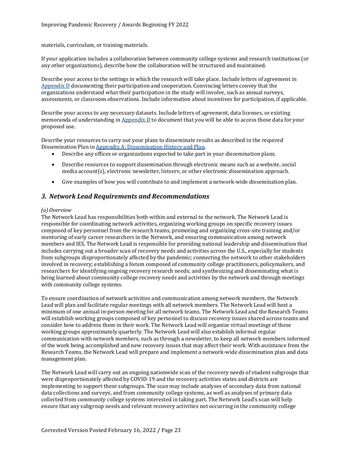materials, curriculum, or training materials.

If your application includes a collaboration between community college systems and research institutions (or any other organizations), describe how the collaboration will be structured and maintained.

Describe your access to the settings in which the research will take place. Include letters of agreement in [Appendix D](#page-33-2) documenting their participation and cooperation. Convincing letters convey that the organizations understand what their participation in the study will involve, such as annual surveys, assessments, or classroom observations. Include information about incentives for participation, if applicable.

Describe your access to any necessary datasets. Include letters of agreement, data licenses, or existing memoranda of understanding in  $Appendix D$  to document that you will be able to access those data for your proposed use.

Describe your resources to carry out your plans to disseminate results as described in the required Dissemination Plan i[n Appendix A: Dissemination History and Plan.](#page-32-0)<br>• Describe any offices or organizations expected to take part

- Describe any offices or organizations expected to take part in your dissemination plans.
- Describe resources to support dissemination through electronic means such as a website, social media account(s), electronic newsletter, listserv, or other electronic dissemination approach.
- Give examples of how you will contribute to and implement a network-wide dissemination plan.

## <span id="page-25-0"></span>*3. Network Lead Requirements and Recommendations*

#### *(a) Overview*

The Network Lead has responsibilities both within and external to the network. The Network Lead is responsible for coordinating network activities, organizing working groups on specific recovery issues composed of key personnel from the research teams, promoting and organizing cross-site training and/or mentoring of early career researchers in the Network, and ensuring communication among network members and IES. The Network Lead is responsible for providing national leadership and dissemination that includes carrying out a broader scan of recovery needs and activities across the U.S., especially for students from subgroups disproportionately affected by the pandemic; connecting the network to other stakeholders involved in recovery; establishing a forum composed of community college practitioners, policymakers, and researchers for identifying ongoing recovery research needs; and synthesizing and disseminating what is being learned about community college recovery needs and activities by the network and through meetings with community college systems.

To ensure coordination of network activities and communication among network members, the Network Lead will plan and facilitate regular meetings with all network members. The Network Lead will host a minimum of one annual in-person meeting for all network teams. The Network Lead and the Research Teams will establish working groups composed of key personnel to discuss recovery issues shared across teams and consider how to address them in their work. The Network Lead will organize virtual meetings of these working groups approximately quarterly. The Network Lead will also establish informal regular communication with network members, such as through a newsletter, to keep all network members informed of the work being accomplished and new recovery issues that may affect their work. With assistance from the Research Teams, the Network Lead will prepare and implement a network-wide dissemination plan and data management plan.

The Network Lead will carry out an ongoing nationwide scan of the recovery needs of student subgroups that were disproportionately affected by COVID-19 and the recovery activities states and districts are implementing to support these subgroups. The scan may include analyses of secondary data from national data collections and surveys, and from community college systems, as well as analyses of primary data collected from community college systems interested in taking part. The Network Lead's scan will help ensure that any subgroup needs and relevant recovery activities not occurring in the community college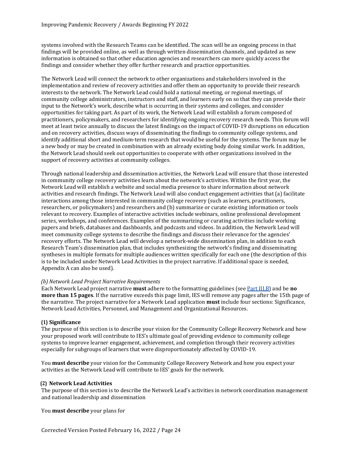systems involved with the Research Teams can be identified. The scan will be an ongoing process in that findings will be provided online, as well as through written dissemination channels, and updated as new information is obtained so that other education agencies and researchers can more quickly access the findings and consider whether they offer further research and practice opportunities.

The Network Lead will connect the network to other organizations and stakeholders involved in the implementation and review of recovery activities and offer them an opportunity to provide their research interests to the network. The Network Lead could hold a national meeting, or regional meetings, of community college administrators, instructors and staff, and learners early on so that they can provide their input to the Network's work, describe what is occurring in their systems and colleges, and consider opportunities for taking part. As part of its work, the Network Lead will establish a forum composed of practitioners, policymakers, and researchers for identifying ongoing recovery research needs. This forum will meet at least twice annually to discuss the latest findings on the impact of COVID-19 disruptions on education and on recovery activities, discuss ways of disseminating the findings to community college systems, and identify additional short and medium-term research that would be useful for the systems. The forum may be a new body or may be created in combination with an already existing body doing similar work. In addition, the Network Lead should seek out opportunities to cooperate with other organizations involved in the support of recovery activities at community colleges.

Through national leadership and dissemination activities, the Network Lead will ensure that those interested in community college recovery activities learn about the network's activities. Within the first year, the Network Lead will establish a website and social media presence to share information about network activities and research findings. The Network Lead will also conduct engagement activities that (a) facilitate interactions among those interested in community college recovery (such as learners, practitioners, researchers, or policymakers) and researchers and (b) summarize or curate existing information or tools relevant to recovery. Examples of interactive activities include webinars, online professional development series, workshops, and conferences. Examples of the summarizing or curating activities include working papers and briefs, databases and dashboards, and podcasts and videos. In addition, the Network Lead will meet community college systems to describe the findings and discuss their relevance for the agencies' recovery efforts. The Network Lead will develop a network-wide dissemination plan, in addition to each Research Team's dissemination plan, that includes synthesizing the network's finding and disseminating syntheses in multiple formats for multiple audiences written specifically for each one (the description of this is to be included under Network Lead Activities in the project narrative. If additional space is needed, Appendix A can also be used).

#### *(b) Network Lead Project Narrative Requirements*

Each Network Lead project narrative **must** adhere to the formatting guidelines (see [Part III.B\)](#page-31-2) and be **no more than 15 pages**. If the narrative exceeds this page limit, IES will remove any pages after the 15th page of the narrative. The project narrative for a Network Lead application **must** include four sections: Significance, Network Lead Activities, Personnel, and Management and Organizational Resources.

#### **(1) Significance**

The purpose of this section is to describe your vision for the Community College Recovery Network and how your proposed work will contribute to IES's ultimate goal of providing evidence to community college systems to improve learner engagement, achievement, and completion through their recovery activities especially for subgroups of learners that were disproportionately affected by COVID-19.

You **must describe** your vision for the Community College Recovery Network and how you expect your activities as the Network Lead will contribute to IES' goals for the network.

#### **(2) Network Lead Activities**

The purpose of this section is to describe the Network Lead's activities in network coordination management and national leadership and dissemination

You **must describe** your plans for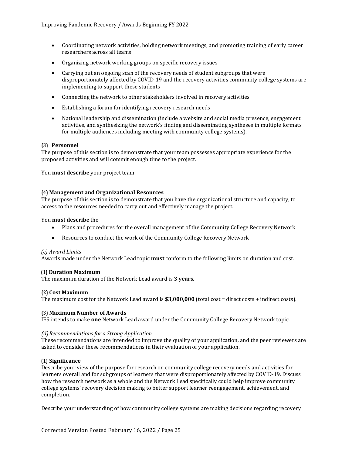- Coordinating network activities, holding network meetings, and promoting training of early career researchers across all teams
- Organizing network working groups on specific recovery issues
- Carrying out an ongoing scan of the recovery needs of student subgroups that were disproportionately affected by COVID-19 and the recovery activities community college systems are implementing to support these students
- Connecting the network to other stakeholders involved in recovery activities
- Establishing a forum for identifying recovery research needs
- National leadership and dissemination (include a website and social media presence, engagement activities, and synthesizing the network's finding and disseminating syntheses in multiple formats for multiple audiences including meeting with community college systems).

#### **(3) Personnel**

The purpose of this section is to demonstrate that your team possesses appropriate experience for the proposed activities and will commit enough time to the project.

You **must describe** your project team.

#### **(4) Management and Organizational Resources**

The purpose of this section is to demonstrate that you have the organizational structure and capacity, to access to the resources needed to carry out and effectively manage the project.

#### You **must describe** the

- Plans and procedures for the overall management of the Community College Recovery Network
- Resources to conduct the work of the Community College Recovery Network

#### *(c) Award Limits*

Awards made under the Network Lead topic **must** conform to the following limits on duration and cost.

#### **(1) Duration Maximum**

The maximum duration of the Network Lead award is **3 years**.

#### **(2) Cost Maximum**

The maximum cost for the Network Lead award is **\$3,000,000** (total cost = direct costs + indirect costs).

#### **(3) Maximum Number of Awards**

IES intends to make **one** Network Lead award under the Community College Recovery Network topic.

#### *(d)Recommendations for a Strong Application*

These recommendations are intended to improve the quality of your application, and the peer reviewers are asked to consider these recommendations in their evaluation of your application.

#### **(1) Significance**

Describe your view of the purpose for research on community college recovery needs and activities for learners overall and for subgroups of learners that were disproportionately affected by COVID-19. Discuss how the research network as a whole and the Network Lead specifically could help improve community college systems' recovery decision making to better support learner reengagement, achievement, and completion.

Describe your understanding of how community college systems are making decisions regarding recovery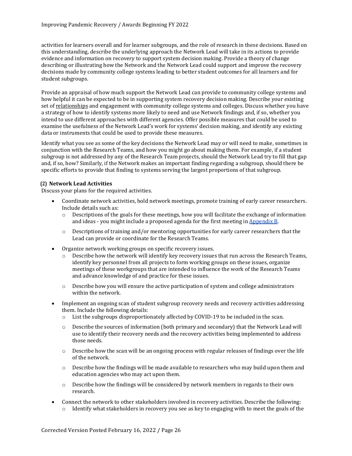activities for learners overall and for learner subgroups, and the role of research in these decisions. Based on this understanding, describe the underlying approach the Network Lead will take in its actions to provide evidence and information on recovery to support system decision making. Provide a theory of change describing or illustrating how the Network and the Network Lead could support and improve the recovery decisions made by community college systems leading to better student outcomes for all learners and for student subgroups.

Provide an appraisal of how much support the Network Lead can provide to community college systems and how helpful it can be expected to be in supporting system recovery decision making. Describe your existing set of relationships and engagement with community college systems and colleges. Discuss whether you have a strategy of how to identify systems more likely to need and use Network findings and, if so, whether you intend to use different approaches with different agencies. Offer possible measures that could be used to examine the usefulness of the Network Lead's work for systems' decision making, and identify any existing data or instruments that could be used to provide these measures.

Identify what you see as some of the key decisions the Network Lead may or will need to make, sometimes in conjunction with the Research Teams, and how you might go about making them. For example, if a student subgroup is not addressed by any of the Research Team projects, should the Network Lead try to fill that gap and, if so, how? Similarly, if the Network makes an important finding regarding a subgroup, should there be specific efforts to provide that finding to systems serving the largest proportions of that subgroup.

#### **(2) Network Lead Activities**

Discuss your plans for the required activities.

- Coordinate network activities, hold network meetings, promote training of early career researchers. Include details such as:<br>  $\circ$  Descriptions of the
	- Descriptions of the goals for these meetings, how you will facilitate the exchange of information and ideas - you might include a proposed agenda for the first meeting in [Appendix B.](#page-33-0)
	- o Descriptions of training and/or mentoring opportunities for early career researchers that the Lead can provide or coordinate for the Research Teams.
- Organize network working groups on specific recovery issues.
	- $\circ$  Describe how the network will identify key recovery issues that run across the Research Teams, identify key personnel from all projects to form working groups on these issues, organize meetings of these workgroups that are intended to influence the work of the Research Teams and advance knowledge of and practice for these issues.
	- o Describe how you will ensure the active participation of system and college administrators within the network.
- Implement an ongoing scan of student subgroup recovery needs and recovery activities addressing them. Include the following details:
	- o List the subgroups disproportionately affected by COVID-19 to be included in the scan.
	- $\circ$  Describe the sources of information (both primary and secondary) that the Network Lead will use to identify their recovery needs and the recovery activities being implemented to address those needs.
	- $\circ$  Describe how the scan will be an ongoing process with regular releases of findings over the life of the network.
	- $\circ$  Describe how the findings will be made available to researchers who may build upon them and education agencies who may act upon them.
	- o Describe how the findings will be considered by network members in regards to their own research.
- Connect the network to other stakeholders involved in recovery activities. Describe the following:
	- $\circ$  Identify what stakeholders in recovery you see as key to engaging with to meet the goals of the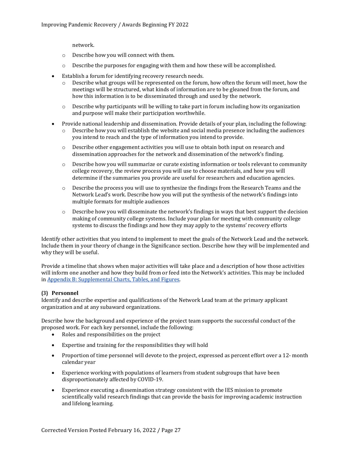network.

- o Describe how you will connect with them.
- o Describe the purposes for engaging with them and how these will be accomplished.
- Establish a forum for identifying recovery research needs.
	- o Describe what groups will be represented on the forum, how often the forum will meet, how the meetings will be structured, what kinds of information are to be gleaned from the forum, and how this information is to be disseminated through and used by the network.
	- $\circ$  Describe why participants will be willing to take part in forum including how its organization and purpose will make their participation worthwhile.
- Provide national leadership and dissemination. Provide details of your plan, including the following:<br>  $\circ$  Describe how you will establish the website and social media presence including the audiences Describe how you will establish the website and social media presence including the audiences you intend to reach and the type of information you intend to provide.
	- $\circ$  Describe other engagement activities you will use to obtain both input on research and dissemination approaches for the network and dissemination of the network's finding.
	- o Describe how you will summarize or curate existing information or tools relevant to community college recovery, the review process you will use to choose materials, and how you will determine if the summaries you provide are useful for researchers and education agencies.
	- o Describe the process you will use to synthesize the findings from the Research Teams and the Network Lead's work. Describe how you will put the synthesis of the network's findings into multiple formats for multiple audiences
	- o Describe how you will disseminate the network's findings in ways that best support the decision making of community college systems. Include your plan for meeting with community college systems to discuss the findings and how they may apply to the systems' recovery efforts

Identify other activities that you intend to implement to meet the goals of the Network Lead and the network. Include them in your theory of change in the Significance section. Describe how they will be implemented and why they will be useful.

Provide a timeline that shows when major activities will take place and a description of how those activities will inform one another and how they build from or feed into the Network's activities. This may be included i[n Appendix B: Supplemental Charts, Tables, and Figures.](#page-33-0)

### **(3) Personnel**

Identify and describe expertise and qualifications of the Network Lead team at the primary applicant organization and at any subaward organizations.

Describe how the background and experience of the project team supports the successful conduct of the proposed work. For each key personnel, include the following:

- Roles and responsibilities on the project
- Expertise and training for the responsibilities they will hold
- Proportion of time personnel will devote to the project, expressed as percent effort over a 12- month calendar year
- Experience working with populations of learners from student subgroups that have been disproportionately affected by COVID-19.
- Experience executing a dissemination strategy consistent with the IES mission to promote scientifically valid research findings that can provide the basis for improving academic instruction and lifelong learning.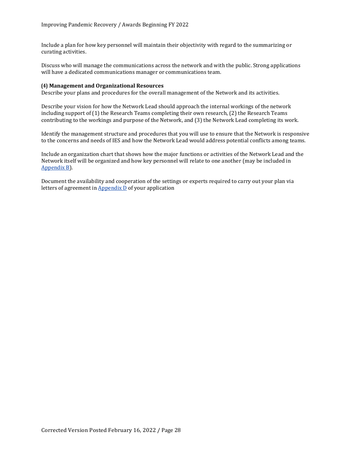Include a plan for how key personnel will maintain their objectivity with regard to the summarizing or curating activities.

Discuss who will manage the communications across the network and with the public. Strong applications will have a dedicated communications manager or communications team.

#### **(4) Management and Organizational Resources**

Describe your plans and procedures for the overall management of the Network and its activities.

Describe your vision for how the Network Lead should approach the internal workings of the network including support of (1) the Research Teams completing their own research, (2) the Research Teams contributing to the workings and purpose of the Network, and (3) the Network Lead completing its work.

Identify the management structure and procedures that you will use to ensure that the Network is responsive to the concerns and needs of IES and how the Network Lead would address potential conflicts among teams.

Include an organization chart that shows how the major functions or activities of the Network Lead and the Network itself will be organized and how key personnel will relate to one another (may be included in [Appendix B\)](#page-33-0).

Document the availability and cooperation of the settings or experts required to carry out your plan via letters of agreement in [Appendix D](#page-33-2) of your application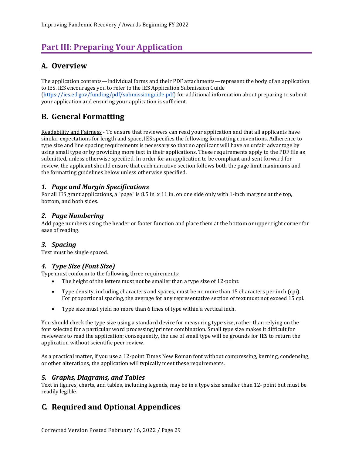# <span id="page-31-0"></span>**Part III: Preparing Your Application**

## <span id="page-31-1"></span>**A. Overview**

The application contents—individual forms and their PDF attachments—represent the body of an application to IES. IES encourages you to refer to the IES Application Submission Guide [\(https://ies.ed.gov/funding/pdf/submissionguide.pdf\)](https://ies.ed.gov/funding/pdf/submissionguide.pdf) for additional information about preparing to submit your application and ensuring your application is sufficient.

## <span id="page-31-2"></span>**B. General Formatting**

Readability and Fairness - To ensure that reviewers can read your application and that all applicants have similar expectations for length and space, IES specifies the following formatting conventions. Adherence to type size and line spacing requirements is necessary so that no applicant will have an unfair advantage by using small type or by providing more text in their applications. These requirements apply to the PDF file as submitted, unless otherwise specified. In order for an application to be compliant and sent forward for review, the applicant should ensure that each narrative section follows both the page limit maximums and the formatting guidelines below unless otherwise specified.

## <span id="page-31-3"></span>*1. Page and Margin Specifications*

For all IES grant applications, a "page" is 8.5 in. x 11 in. on one side only with 1-inch margins at the top, bottom, and both sides.

## <span id="page-31-4"></span>*2. Page Numbering*

Add page numbers using the header or footer function and place them at the bottom or upper right corner for ease of reading.

## <span id="page-31-5"></span>*3. Spacing*

Text must be single spaced.

## <span id="page-31-6"></span>*4. Type Size (Font Size)*

Type must conform to the following three requirements:

- The height of the letters must not be smaller than a type size of 12-point.
- Type density, including characters and spaces, must be no more than 15 characters per inch (cpi). For proportional spacing, the average for any representative section of text must not exceed 15 cpi.
- Type size must yield no more than 6 lines of type within a vertical inch.

You should check the type size using a standard device for measuring type size, rather than relying on the font selected for a particular word processing/printer combination. Small type size makes it difficult for reviewers to read the application; consequently, the use of small type will be grounds for IES to return the application without scientific peer review.

As a practical matter, if you use a 12-point Times New Roman font without compressing, kerning, condensing, or other alterations, the application will typically meet these requirements.

## <span id="page-31-7"></span>*5. Graphs, Diagrams, and Tables*

Text in figures, charts, and tables, including legends, may be in a type size smaller than 12- point but must be readily legible.

## <span id="page-31-8"></span>**C. Required and Optional Appendices**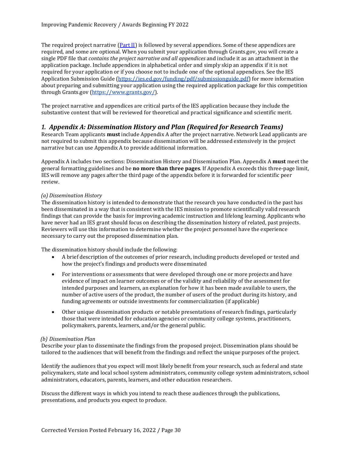The required project narrative [\(Part II\)](#page-9-0) is followed by several appendices. Some of these appendices are required, and some are optional. When you submit your application through Grants.gov, you will create a single PDF file that *contains the project narrative and all appendices* and include it as an attachment in the application package. Include appendices in alphabetical order and simply skip an appendix if it is not required for your application or if you choose not to include one of the optional appendices. See the IES Application Submission Guide [\(https://ies.ed.gov/funding/pdf/submissionguide.pdf\)](https://ies.ed.gov/funding/pdf/submissionguide.pdf) for more information about preparing and submitting your application using the required application package for this competition through Grants.gov [\(https://www.grants.gov/\)](https://www.grants.gov/).

The project narrative and appendices are critical parts of the IES application because they include the substantive content that will be reviewed for theoretical and practical significance and scientific merit.

## <span id="page-32-0"></span>*1. Appendix A: Dissemination History and Plan (Required for Research Teams)*

Research Team applicants **must** include Appendix A after the project narrative. Network Lead applicants are not required to submit this appendix because dissemination will be addressed extensively in the project narrative but can use Appendix A to provide additional information.

Appendix A includes two sections: Dissemination History and Dissemination Plan. Appendix A **must** meet the general formatting guidelines and be **no more than three pages**. If Appendix A exceeds this three-page limit, IES will remove any pages after the third page of the appendix before it is forwarded for scientific peer review.

#### *(a) Dissemination History*

The dissemination history is intended to demonstrate that the research you have conducted in the past has been disseminated in a way that is consistent with the IES mission to promote scientifically valid research findings that can provide the basis for improving academic instruction and lifelong learning. Applicants who have never had an IES grant should focus on describing the dissemination history of related, past projects. Reviewers will use this information to determine whether the project personnel have the experience necessary to carry out the proposed dissemination plan.

The dissemination history should include the following:

- A brief description of the outcomes of prior research, including products developed or tested and how the project's findings and products were disseminated
- For interventions or assessments that were developed through one or more projects and have evidence of impact on learner outcomes or of the validity and reliability of the assessment for intended purposes and learners, an explanation for how it has been made available to users, the number of active users of the product, the number of users of the product during its history, and funding agreements or outside investments for commercialization (if applicable)
- Other unique dissemination products or notable presentations of research findings, particularly those that were intended for education agencies or community college systems, practitioners, policymakers, parents, learners, and/or the general public.

#### *(b) Dissemination Plan*

Describe your plan to disseminate the findings from the proposed project. Dissemination plans should be tailored to the audiences that will benefit from the findings and reflect the unique purposes of the project.

Identify the audiences that you expect will most likely benefit from your research, such as federal and state policymakers, state and local school system administrators, community college system administrators, school administrators, educators, parents, learners, and other education researchers.

Discuss the different ways in which you intend to reach these audiences through the publications, presentations, and products you expect to produce.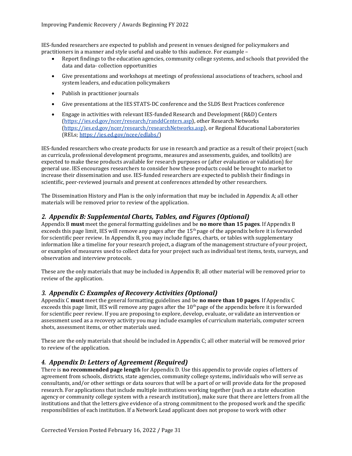IES-funded researchers are expected to publish and present in venues designed for policymakers and practitioners in a manner and style useful and usable to this audience. For example –

- Report findings to the education agencies, community college systems, and schools that provided the data and data- collection opportunities
- Give presentations and workshops at meetings of professional associations of teachers, school and system leaders, and education policymakers
- Publish in practitioner journals
- Give presentations at the IES STATS-DC conference and the SLDS Best Practices conference
- Engage in activities with relevant IES-funded Research and Development (R&D) Centers [\(https://ies.ed.gov/ncer/research/randdCenters.asp\)](https://ies.ed.gov/ncer/research/randdCenters.asp), other Research Networks [\(https://ies.ed.gov/ncer/research/researchNetworks.asp\)](https://ies.ed.gov/ncer/research/researchNetworks.asp), or Regional Educational Laboratories (RELs; [https://ies.ed.gov/ncee/edlabs/\)](https://ies.ed.gov/ncee/edlabs/)

IES-funded researchers who create products for use in research and practice as a result of their project (such as curricula, professional development programs, measures and assessments, guides, and toolkits) are expected to make these products available for research purposes or (after evaluation or validation) for general use. IES encourages researchers to consider how these products could be brought to market to increase their dissemination and use. IES-funded researchers are expected to publish their findings in scientific, peer-reviewed journals and present at conferences attended by other researchers.

The Dissemination History and Plan is the only information that may be included in Appendix A; all other materials will be removed prior to review of the application.

## <span id="page-33-0"></span>*2. Appendix B: Supplemental Charts, Tables, and Figures (Optional)*

Appendix B **must** meet the general formatting guidelines and be **no more than 15 pages**. If Appendix B exceeds this page limit, IES will remove any pages after the  $15<sup>th</sup>$  page of the appendix before it is forwarded for scientific peer review. In Appendix B, you may include figures, charts, or tables with supplementary information like a timeline for your research project, a diagram of the management structure of your project, or examples of measures used to collect data for your project such as individual test items, tests, surveys, and observation and interview protocols.

These are the only materials that may be included in Appendix B; all other material will be removed prior to review of the application.

### <span id="page-33-1"></span>*3. Appendix C: Examples of Recovery Activities (Optional)*

Appendix C **must** meet the general formatting guidelines and be **no more than 10 pages**. If Appendix C exceeds this page limit, IES will remove any pages after the 10<sup>th</sup> page of the appendix before it is forwarded for scientific peer review. If you are proposing to explore, develop, evaluate, or validate an intervention or assessment used as a recovery activity you may include examples of curriculum materials, computer screen shots, assessment items, or other materials used.

These are the only materials that should be included in Appendix C; all other material will be removed prior to review of the application.

## <span id="page-33-2"></span>*4. Appendix D: Letters of Agreement (Required)*

There is **no recommended page length** for Appendix D. Use this appendix to provide copies of letters of agreement from schools, districts, state agencies, community college systems, individuals who will serve as consultants, and/or other settings or data sources that will be a part of or will provide data for the proposed research. For applications that include multiple institutions working together (such as a state education agency or community college system with a research institution), make sure that there are letters from all the institutions and that the letters give evidence of a strong commitment to the proposed work and the specific responsibilities of each institution. If a Network Lead applicant does not propose to work with other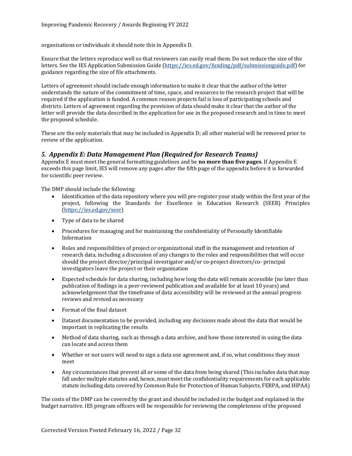organizations or individuals it should note this in Appendix D.

Ensure that the letters reproduce well so that reviewers can easily read them. Do not reduce the size of the letters. See the IES Application Submission Guide [\(https://ies.ed.gov/funding/pdf/submissionguide.pdf\)](https://ies.ed.gov/funding/pdf/submissionguide.pdf) for guidance regarding the size of file attachments.

Letters of agreement should include enough information to make it clear that the author of the letter understands the nature of the commitment of time, space, and resources to the research project that will be required if the application is funded. A common reason projects fail is loss of participating schools and districts. Letters of agreement regarding the provision of data should make it clear that the author of the letter will provide the data described in the application for use in the proposed research and in time to meet the proposed schedule.

These are the only materials that may be included in Appendix D; all other material will be removed prior to review of the application.

## <span id="page-34-0"></span>*5. Appendix E: Data Management Plan (Required for Research Teams)*

Appendix E must meet the general formatting guidelines and be **no more than five pages**. If Appendix E exceeds this page limit, IES will remove any pages after the fifth page of the appendix before it is forwarded for scientific peer review.

The DMP should include the following:

- Identification of the data repository where you will pre-register your study within the first year of the project, following the Standards for Excellence in Education Research (SEER) Principles [\(https://ies.ed.gov/seer\)](https://ies.ed.gov/seer)
- Type of data to be shared
- Procedures for managing and for maintaining the confidentiality of Personally Identifiable Information
- Roles and responsibilities of project or organizational staff in the management and retention of research data, including a discussion of any changes to the roles and responsibilities that will occur should the project director/principal investigator and/or co-project directors/co- principal investigators leave the project or their organization
- Expected schedule for data sharing, including how long the data will remain accessible (no later than publication of findings in a peer-reviewed publication and available for at least 10 years) and acknowledgement that the timeframe of data accessibility will be reviewed at the annual progress reviews and revised as necessary
- Format of the final dataset
- Dataset documentation to be provided, including any decisions made about the data that would be important in replicating the results
- Method of data sharing, such as through a data archive, and how those interested in using the data can locate and access them
- Whether or not users will need to sign a data use agreement and, if so, what conditions they must meet
- Any circumstances that prevent all or some of the data from being shared (This includes data that may fall under multiple statutes and, hence, must meet the confidentiality requirements for each applicable statute including data covered by Common Rule for Protection of Human Subjects, FERPA, and HIPAA)

The costs of the DMP can be covered by the grant and should be included in the budget and explained in the budget narrative. IES program officers will be responsible for reviewing the completeness of the proposed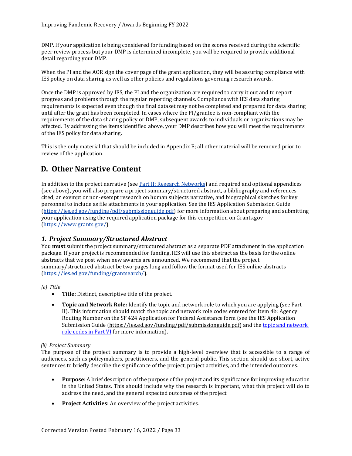DMP. If your application is being considered for funding based on the scores received during the scientific peer review process but your DMP is determined incomplete, you will be required to provide additional detail regarding your DMP.

When the PI and the AOR sign the cover page of the grant application, they will be assuring compliance with IES policy on data sharing as well as other policies and regulations governing research awards.

Once the DMP is approved by IES, the PI and the organization are required to carry it out and to report progress and problems through the regular reporting channels. Compliance with IES data sharing requirements is expected even though the final dataset may not be completed and prepared for data sharing until after the grant has been completed. In cases where the PI/grantee is non-compliant with the requirements of the data sharing policy or DMP, subsequent awards to individuals or organizations may be affected. By addressing the items identified above, your DMP describes how you will meet the requirements of the IES policy for data sharing.

This is the only material that should be included in Appendix E; all other material will be removed prior to review of the application.

## <span id="page-35-0"></span>**D. Other Narrative Content**

In addition to the project narrative (see Part II: Research Networks) and required and optional appendices (see above), you will also prepare a project summary/structured abstract, a bibliography and references cited, an exempt or non-exempt research on human subjects narrative, and biographical sketches for key personnel to include as file attachments in your application. See the IES Application Submission Guide [\(https://ies.ed.gov/funding/pdf/submissionguide.pdf\)](https://ies.ed.gov/funding/pdf/submissionguide.pdf) for more information about preparing and submitting your application using the required application package for this competition on Grants.gov [\(https://www.grants.gov/\)](https://www.grants.gov/).

## <span id="page-35-1"></span>*1. Project Summary/Structured Abstract*

You **must** submit the project summary/structured abstract as a separate PDF attachment in the application package. If your project is recommended for funding, IES will use this abstract as the basis for the online abstracts that we post when new awards are announced. We recommend that the project summary/structured abstract be two-pages long and follow the format used for IES online abstracts [\(https://ies.ed.gov/funding/grantsearch/\)](https://ies.ed.gov/funding/grantsearch/).

*(a) Title*

- **Title:** Distinct, descriptive title of the project.
- **Topic and Network Role:** Identify the topic and network role to which you are applying (see Part II). This information should match the topic and network role codes entered for Item 4b: Agency Routing Number on the SF 424 Application for Federal Assistance form (see the IES Application Submission Guide [\(https://ies.ed.gov/funding/pdf/submissionguide.pdf\)](https://ies.ed.gov/funding/pdf/submissionguide.pdf) and the topic and network [role codes in Part VI](#page-47-0) for more information).

### *(b) Project Summary*

The purpose of the project summary is to provide a high-level overview that is accessible to a range of audiences, such as policymakers, practitioners, and the general public. This section should use short, active sentences to briefly describe the significance of the project, project activities, and the intended outcomes.

- **Purpose**: A brief description of the purpose of the project and its significance for improving education in the United States. This should include why the research is important, what this project will do to address the need, and the general expected outcomes of the project.
- **Project Activities**: An overview of the project activities.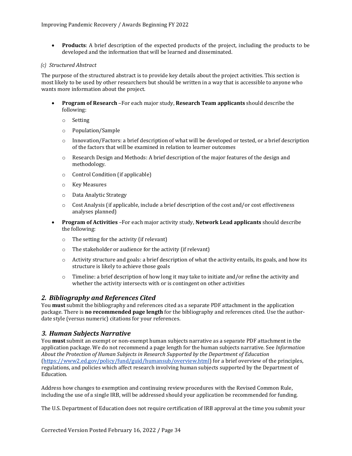• **Products**: A brief description of the expected products of the project, including the products to be developed and the information that will be learned and disseminated.

#### *(c) Structured Abstract*

The purpose of the structured abstract is to provide key details about the project activities. This section is most likely to be used by other researchers but should be written in a way that is accessible to anyone who wants more information about the project.

- **Program of Research** –For each major study, **Research Team applicants** should describe the following:
	- o Setting
	- o Population/Sample
	- o Innovation/Factors: a brief description of what will be developed or tested, or a brief description of the factors that will be examined in relation to learner outcomes
	- o Research Design and Methods: A brief description of the major features of the design and methodology.
	- o Control Condition (if applicable)
	- o Key Measures
	- o Data Analytic Strategy
	- $\circ$  Cost Analysis (if applicable, include a brief description of the cost and/or cost effectiveness analyses planned)
- **Program of Activities** –For each major activity study, **Network Lead applicants** should describe the following:
	- o The setting for the activity (if relevant)
	- o The stakeholder or audience for the activity (if relevant)
	- $\circ$  Activity structure and goals: a brief description of what the activity entails, its goals, and how its structure is likely to achieve those goals
	- $\circ$  Timeline: a brief description of how long it may take to initiate and/or refine the activity and whether the activity intersects with or is contingent on other activities

### <span id="page-36-0"></span>*2. Bibliography and References Cited*

You **must** submit the bibliography and references cited as a separate PDF attachment in the application package. There is **no recommended page length** for the bibliography and references cited. Use the authordate style (versus numeric) citations for your references.

### <span id="page-36-1"></span>*3. Human Subjects Narrative*

You **must** submit an exempt or non-exempt human subjects narrative as a separate PDF attachment in the application package. We do not recommend a page length for the human subjects narrative. See *Information About the Protection of Human Subjects in Research Supported by the Department of Education*  [\(https://www2.ed.gov/policy/fund/guid/humansub/overview.html\)](https://www2.ed.gov/policy/fund/guid/humansub/overview.html) for a brief overview of the principles, regulations, and policies which affect research involving human subjects supported by the Department of Education.

Address how changes to exemption and continuing review procedures with the Revised Common Rule, including the use of a single IRB, will be addressed should your application be recommended for funding.

The U.S. Department of Education does not require certification of IRB approval at the time you submit your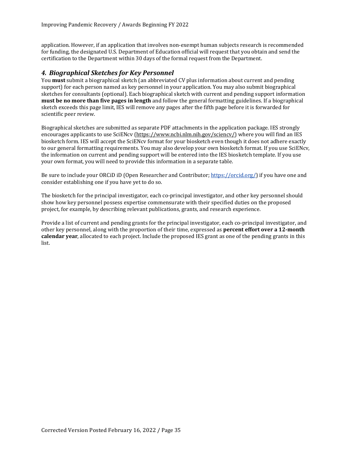application. However, if an application that involves non-exempt human subjects research is recommended for funding, the designated U.S. Department of Education official will request that you obtain and send the certification to the Department within 30 days of the formal request from the Department.

## <span id="page-37-0"></span>*4. Biographical Sketches for Key Personnel*

You **must** submit a biographical sketch (an abbreviated CV plus information about current and pending support) for each person named as key personnel in your application. You may also submit biographical sketches for consultants (optional). Each biographical sketch with current and pending support information **must be no more than five pages in length** and follow the general formatting guidelines. If a biographical sketch exceeds this page limit, IES will remove any pages after the fifth page before it is forwarded for scientific peer review.

Biographical sketches are submitted as separate PDF attachments in the application package. IES strongly encourages applicants to use SciENcv [\(https://www.ncbi.nlm.nih.gov/sciencv/\)](https://www.ncbi.nlm.nih.gov/sciencv/) where you will find an IES biosketch form. IES will accept the SciENcv format for your biosketch even though it does not adhere exactly to our general formatting requirements. You may also develop your own biosketch format. If you use SciENcv, the information on current and pending support will be entered into the IES biosketch template. If you use your own format, you will need to provide this information in a separate table.

Be sure to include your ORCiD iD (Open Researcher and Contributor; [https://orcid.org/\)](https://orcid.org/) if you have one and consider establishing one if you have yet to do so.

The biosketch for the principal investigator, each co-principal investigator, and other key personnel should show how key personnel possess expertise commensurate with their specified duties on the proposed project, for example, by describing relevant publications, grants, and research experience.

Provide a list of current and pending grants for the principal investigator, each co-principal investigator, and other key personnel, along with the proportion of their time, expressed as **percent effort over a 12-month calendar year**, allocated to each project. Include the proposed IES grant as one of the pending grants in this list.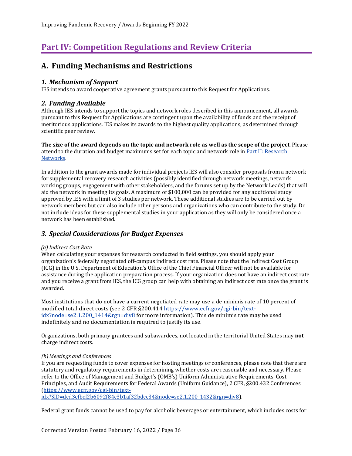# <span id="page-38-0"></span>**Part IV: Competition Regulations and Review Criteria**

## <span id="page-38-1"></span>**A. Funding Mechanisms and Restrictions**

## <span id="page-38-2"></span>*1. Mechanism of Support*

IES intends to award cooperative agreement grants pursuant to this Request for Applications.

## <span id="page-38-3"></span>*2. Funding Available*

Although IES intends to support the topics and network roles described in this announcement, all awards pursuant to this Request for Applications are contingent upon the availability of funds and the receipt of meritorious applications. IES makes its awards to the highest quality applications, as determined through scientific peer review.

**The size of the award depends on the topic and network role as well as the scope of the project**. Please attend to the duration and budget maximums set for each topic and network role in Part II: Research [Networks.](#page-9-0)

In addition to the grant awards made for individual projects IES will also consider proposals from a network for supplemental recovery research activities (possibly identified through network meetings, network working groups, engagement with other stakeholders, and the forums set up by the Network Leads) that will aid the network in meeting its goals. A maximum of \$100,000 can be provided for any additional study approved by IES with a limit of 3 studies per network. These additional studies are to be carried out by network members but can also include other persons and organizations who can contribute to the study. Do not include ideas for these supplemental studies in your application as they will only be considered once a network has been established.

## <span id="page-38-4"></span>*3. Special Considerations for Budget Expenses*

### *(a) Indirect Cost Rate*

When calculating your expenses for research conducted in field settings, you should apply your organization's federally negotiated off-campus indirect cost rate. Please note that the Indirect Cost Group (ICG) in the U.S. Department of Education's Office of the Chief Financial Officer will not be available for assistance during the application preparation process. If your organization does not have an indirect cost rate and you receive a grant from IES, the ICG group can help with obtaining an indirect cost rate once the grant is awarded.

Most institutions that do not have a current negotiated rate may use a de minimis rate of 10 percent of modified total direct costs (see 2 CFR §200.414 [https://www.ecfr.gov/cgi-bin/text](https://www.ecfr.gov/cgi-bin/text-idx?node=se2.1.200_1414&rgn=div8)[idx?node=se2.1.200\\_1414&rgn=div8](https://www.ecfr.gov/cgi-bin/text-idx?node=se2.1.200_1414&rgn=div8) for more information). This de minimis rate may be used indefinitely and no documentation is required to justify its use.

Organizations, both primary grantees and subawardees, not located in the territorial United States may **not**  charge indirect costs.

### *(b)Meetings and Conferences*

If you are requesting funds to cover expenses for hosting meetings or conferences, please note that there are statutory and regulatory requirements in determining whether costs are reasonable and necessary. Please refer to the Office of Management and Budget's (OMB's) Uniform Administrative Requirements, Cost Principles, and Audit Requirements for Federal Awards (Uniform Guidance), 2 CFR, §200.432 Conferences [\(https://www.ecfr.gov/cgi-bin/text-](https://www.ecfr.gov/cgi-bin/text-idx?SID=dcd3efbcf2b6092f84c3b1af32bdcc34&node=se2.1.200_1432&rgn=div8)

[idx?SID=dcd3efbcf2b6092f84c3b1af32bdcc34&node=se2.1.200\\_1432&rgn=div8\)](https://www.ecfr.gov/cgi-bin/text-idx?SID=dcd3efbcf2b6092f84c3b1af32bdcc34&node=se2.1.200_1432&rgn=div8).

Federal grant funds cannot be used to pay for alcoholic beverages or entertainment, which includes costs for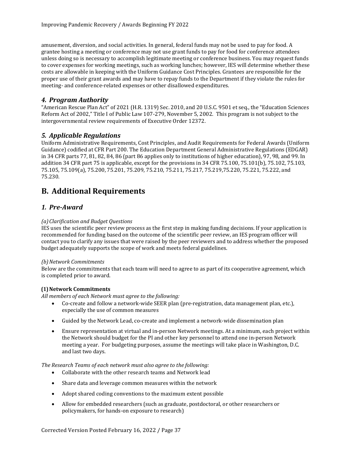amusement, diversion, and social activities. In general, federal funds may not be used to pay for food. A grantee hosting a meeting or conference may not use grant funds to pay for food for conference attendees unless doing so is necessary to accomplish legitimate meeting or conference business. You may request funds to cover expenses for working meetings, such as working lunches; however, IES will determine whether these costs are allowable in keeping with the Uniform Guidance Cost Principles. Grantees are responsible for the proper use of their grant awards and may have to repay funds to the Department if they violate the rules for meeting- and conference-related expenses or other disallowed expenditures.

## <span id="page-39-0"></span>*4. Program Authority*

"American Rescue Plan Act" of 2021 (H.R. 1319) Sec. 2010, and 20 U.S.C. 9501 et seq., the "Education Sciences Reform Act of 2002," Title I of Public Law 107-279, November 5, 2002. This program is not subject to the intergovernmental review requirements of Executive Order 12372.

## <span id="page-39-1"></span>*5. Applicable Regulations*

Uniform Administrative Requirements, Cost Principles, and Audit Requirements for Federal Awards (Uniform Guidance) codified at CFR Part 200. The Education Department General Administrative Regulations (EDGAR) in 34 CFR parts 77, 81, 82, 84, 86 (part 86 applies only to institutions of higher education), 97, 98, and 99. In addition 34 CFR part 75 is applicable, except for the provisions in 34 CFR 75.100, 75.101(b), 75.102, 75.103, 75.105, 75.109(a), 75.200, 75.201, 75.209, 75.210, 75.211, 75.217, 75.219,75.220, 75.221, 75.222, and 75.230.

## <span id="page-39-2"></span>**B. Additional Requirements**

## <span id="page-39-3"></span>*1. Pre-Award*

#### *(a)Clarification and Budget Questions*

IES uses the scientific peer review process as the first step in making funding decisions. If your application is recommended for funding based on the outcome of the scientific peer review, an IES program officer will contact you to clarify any issues that were raised by the peer reviewers and to address whether the proposed budget adequately supports the scope of work and meets federal guidelines.

#### <span id="page-39-4"></span>*(b)Network Commitments*

Below are the commitments that each team will need to agree to as part of its cooperative agreement, which is completed prior to award.

### **(1)Network Commitments**

*All members of each Network must agree to the following:*

- Co-create and follow a network-wide SEER plan (pre-registration, data management plan, etc.), especially the use of common measures
- Guided by the Network Lead, co-create and implement a network-wide dissemination plan
- Ensure representation at virtual and in-person Network meetings. At a minimum, each project within the Network should budget for the PI and other key personnel to attend one in-person Network meeting a year. For budgeting purposes, assume the meetings will take place in Washington, D.C. and last two days.

*The Research Teams of each network must also agree to the following:*

- Collaborate with the other research teams and Network lead
- Share data and leverage common measures within the network
- Adopt shared coding conventions to the maximum extent possible
- Allow for embedded researchers (such as graduate, postdoctoral, or other researchers or policymakers, for hands-on exposure to research)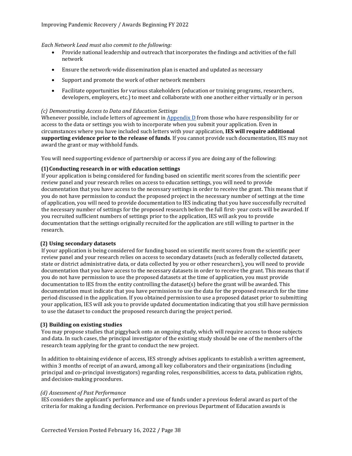#### *Each Network Lead must also commit to the following:*

- Provide national leadership and outreach that incorporates the findings and activities of the full network
- Ensure the network-wide dissemination plan is enacted and updated as necessary
- Support and promote the work of other network members
- Facilitate opportunities for various stakeholders (education or training programs, researchers, developers, employers, etc.) to meet and collaborate with one another either virtually or in person

#### *(c) Demonstrating Access to Data and Education Settings*

Whenever possible, include letters of agreement i[n Appendix D](#page-33-2) from those who have responsibility for or access to the data or settings you wish to incorporate when you submit your application. Even in circumstances where you have included such letters with your application, **IES will require additional supporting evidence prior to the release of funds**. If you cannot provide such documentation, IES may not award the grant or may withhold funds.

You will need supporting evidence of partnership or access if you are doing any of the following:

#### **(1)Conducting research in or with education settings**

If your application is being considered for funding based on scientific merit scores from the scientific peer review panel and your research relies on access to education settings, you will need to provide documentation that you have access to the necessary settings in order to receive the grant. This means that if you do not have permission to conduct the proposed project in the necessary number of settings at the time of application, you will need to provide documentation to IES indicating that you have successfully recruited the necessary number of settings for the proposed research before the full first- year costs will be awarded. If you recruited sufficient numbers of settings prior to the application, IES will ask you to provide documentation that the settings originally recruited for the application are still willing to partner in the research.

#### **(2) Using secondary datasets**

If your application is being considered for funding based on scientific merit scores from the scientific peer review panel and your research relies on access to secondary datasets (such as federally collected datasets, state or district administrative data, or data collected by you or other researchers), you will need to provide documentation that you have access to the necessary datasets in order to receive the grant. This means that if you do not have permission to use the proposed datasets at the time of application, you must provide documentation to IES from the entity controlling the dataset(s) before the grant will be awarded. This documentation must indicate that you have permission to use the data for the proposed research for the time period discussed in the application. If you obtained permission to use a proposed dataset prior to submitting your application, IES will ask you to provide updated documentation indicating that you still have permission to use the dataset to conduct the proposed research during the project period.

#### **(3) Building on existing studies**

You may propose studies that piggyback onto an ongoing study, which will require access to those subjects and data. In such cases, the principal investigator of the existing study should be one of the members of the research team applying for the grant to conduct the new project.

In addition to obtaining evidence of access, IES strongly advises applicants to establish a written agreement, within 3 months of receipt of an award, among all key collaborators and their organizations (including principal and co-principal investigators) regarding roles, responsibilities, access to data, publication rights, and decision-making procedures.

#### *(d) Assessment of Past Performance*

IES considers the applicant's performance and use of funds under a previous federal award as part of the criteria for making a funding decision. Performance on previous Department of Education awards is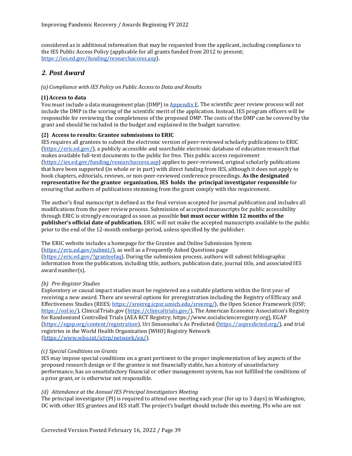considered as is additional information that may be requested from the applicant, including compliance to the IES Public Access Policy (applicable for all grants funded from 2012 to present; [https://ies.ed.gov/funding/researchaccess.asp\)](https://ies.ed.gov/funding/researchaccess.asp).

## <span id="page-41-0"></span>*2. Post Award*

#### *(a) Compliance with IES Policy on Public Access to Data and Results*

#### **(1)Access to data**

You must include a data management plan (DMP) i[n Appendix E. T](#page-34-0)he scientific peer review process will not include the DMP in the scoring of the scientific merit of the application. Instead, IES program officers will be responsible for reviewing the completeness of the proposed DMP. The costs of the DMP can be covered by the grant and should be included in the budget and explained in the budget narrative.

#### **(2) Access to results: Grantee submissions to ERIC**

IES requires all grantees to submit the electronic version of peer-reviewed scholarly publications to ERIC [\(https://eric.ed.gov/\)](https://eric.ed.gov/), a publicly accessible and searchable electronic database of education research that makes available full-text documents to the public for free. This public access requirement [\(https://ies.ed.gov/funding/researchaccess.asp\)](https://ies.ed.gov/funding/researchaccess.asp) applies to peer-reviewed, original scholarly publications that have been supported (in whole or in part) with direct funding from IES, although it does not apply to book chapters, editorials, reviews, or non-peer-reviewed conference proceedings. **As the designated representative for the grantee organization, IES holds the principal investigator responsible** for ensuring that authors of publications stemming from the grant comply with this requirement.

The author's final manuscript is defined as the final version accepted for journal publication and includes all modifications from the peer review process. Submission of accepted manuscripts for public accessibility through ERIC is strongly encouraged as soon as possible **but must occur within 12 months of the publisher's official date of publication.** ERIC will not make the accepted manuscripts available to the public prior to the end of the 12-month embargo period, unless specified by the publisher.

The ERIC website includes a homepage for the Grantee and Online Submission System [\(https://eric.ed.gov/submit/\)](https://eric.ed.gov/submit/), as well as a Frequently Asked Questions page [\(https://eric.ed.gov/?granteefaq\)](https://eric.ed.gov/?granteefaq). During the submission process, authors will submit bibliographic information from the publication, including title, authors, publication date, journal title, and associated IES award number(s).

#### *(b) Pre-Register Studies*

Exploratory or causal impact studies must be registered on a suitable platform within the first year of receiving a new award. There are several options for preregistration including the Registry of Efficacy and Effectiveness Studies (REES[; https://sreereg.icpsr.umich.edu/sreereg/\)](https://sreereg.icpsr.umich.edu/sreereg/), the Open Science Framework (OSF; [https://osf.io/\)](https://osf.io/), ClinicalTrials.gov [\(https://clinicaltrials.gov/\)](https://clinicaltrials.gov/), The American Economic Association's Registry for Randomized Controlled Trials (AEA RCT Registry; https://www.socialscienceregistry.org), EGAP [\(https://egap.org/content/registration\)](https://egap.org/content/registration), Uri Simonsohn's As Predicted [\(https://aspredicted.org/\)](https://aspredicted.org/), and trial registries in the World Health Organization (WHO) Registry Network [\(https://www.who.int/ictrp/network/en/\)](https://www.who.int/ictrp/network/en/).

#### *(c) Special Conditions on Grants*

IES may impose special conditions on a grant pertinent to the proper implementation of key aspects of the proposed research design or if the grantee is not financially stable, has a history of unsatisfactory performance, has an unsatisfactory financial or other management system, has not fulfilled the conditions of a prior grant, or is otherwise not responsible.

#### *(d) Attendance at the Annual IES Principal Investigators Meeting*

The principal investigator (PI) is required to attend one meeting each year (for up to 3 days) in Washington, DC with other IES grantees and IES staff. The project's budget should include this meeting. PIs who are not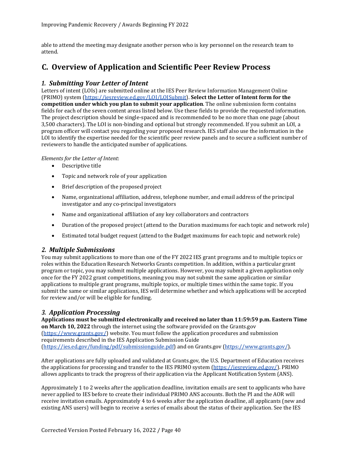able to attend the meeting may designate another person who is key personnel on the research team to attend.

## <span id="page-42-1"></span><span id="page-42-0"></span>**C. Overview of Application and Scientific Peer Review Process**

## *1. Submitting Your Letter of Intent*

Letters of intent (LOIs) are submitted online at the IES Peer Review Information Management Online (PRIMO) system [\(https://iesreview.ed.gov/LOI/LOISubmit\)](https://iesreview.ed.gov/LOI/LOISubmit). **Select the Letter of Intent form for the competition under which you plan to submit your application**. The online submission form contains fields for each of the seven content areas listed below. Use these fields to provide the requested information. The project description should be single-spaced and is recommended to be no more than one page (about 3,500 characters). The LOI is non-binding and optional but strongly recommended. If you submit an LOI, a program officer will contact you regarding your proposed research. IES staff also use the information in the LOI to identify the expertise needed for the scientific peer review panels and to secure a sufficient number of reviewers to handle the anticipated number of applications.

#### *Elements for the Letter of Intent*:

- Descriptive title
- Topic and network role of your application
- Brief description of the proposed project
- Name, organizational affiliation, address, telephone number, and email address of the principal investigator and any co-principal investigators
- Name and organizational affiliation of any key collaborators and contractors
- Duration of the proposed project (attend to the Duration maximums for each topic and network role)
- Estimated total budget request (attend to the Budget maximums for each topic and network role)

### <span id="page-42-2"></span>*2. Multiple Submissions*

You may submit applications to more than one of the FY 2022 IES grant programs and to multiple topics or roles within the Education Research Networks Grants competition. In addition, within a particular grant program or topic, you may submit multiple applications. However, you may submit a given application only once for the FY 2022 grant competitions, meaning you may not submit the same application or similar applications to multiple grant programs, multiple topics, or multiple times within the same topic. If you submit the same or similar applications, IES will determine whether and which applications will be accepted for review and/or will be eligible for funding.

## <span id="page-42-3"></span>*3. Application Processing*

**Applications must be submitted electronically and received no later than 11:59:59 p.m. Eastern Time on March 10, 2022** through the internet using the software provided on the Grants.gov [\(https://www.grants.gov/\)](https://www.grants.gov/) website. You must follow the application procedures and submission requirements described in the IES Application Submission Guide [\(https://ies.ed.gov/funding/pdf/submissionguide.pdf\)](https://ies.ed.gov/funding/pdf/submissionguide.pdf) and on Grants.gov [\(https://www.grants.gov/\)](https://www.grants.gov/).

After applications are fully uploaded and validated at Grants.gov, the U.S. Department of Education receives the applications for processing and transfer to the IES PRIMO system [\(https://iesreview.ed.gov/\)](https://iesreview.ed.gov/). PRIMO allows applicants to track the progress of their application via the Applicant Notification System (ANS).

Approximately 1 to 2 weeks after the application deadline, invitation emails are sent to applicants who have never applied to IES before to create their individual PRIMO ANS accounts. Both the PI and the AOR will receive invitation emails. Approximately 4 to 6 weeks after the application deadline, all applicants (new and existing ANS users) will begin to receive a series of emails about the status of their application. See the IES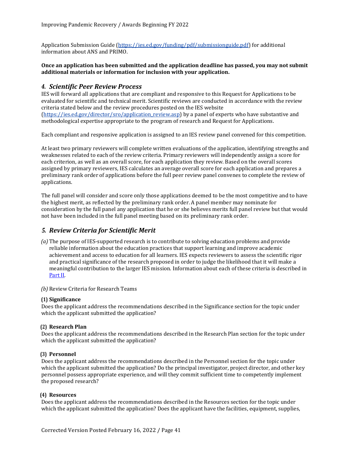Application Submission Guide [\(https://ies.ed.gov/funding/pdf/submissionguide.pdf\)](https://ies.ed.gov/funding/pdf/submissionguide.pdf) for additional information about ANS and PRIMO.

#### **Once an application has been submitted and the application deadline has passed, you may not submit additional materials or information for inclusion with your application.**

### <span id="page-43-0"></span>*4. Scientific Peer Review Process*

IES will forward all applications that are compliant and responsive to this Request for Applications to be evaluated for scientific and technical merit. Scientific reviews are conducted in accordance with the review criteria stated below and the review procedures posted on the IES website [\(https://ies.ed.gov/director/sro/application\\_review.asp\)](https://ies.ed.gov/director/sro/application_review.asp) by a panel of experts who have substantive and methodological expertise appropriate to the program of research and Request for Applications.

Each compliant and responsive application is assigned to an IES review panel convened for this competition.

At least two primary reviewers will complete written evaluations of the application, identifying strengths and weaknesses related to each of the review criteria. Primary reviewers will independently assign a score for each criterion, as well as an overall score, for each application they review. Based on the overall scores assigned by primary reviewers, IES calculates an average overall score for each application and prepares a preliminary rank order of applications before the full peer review panel convenes to complete the review of applications.

The full panel will consider and score only those applications deemed to be the most competitive and to have the highest merit, as reflected by the preliminary rank order. A panel member may nominate for consideration by the full panel any application that he or she believes merits full panel review but that would not have been included in the full panel meeting based on its preliminary rank order.

## <span id="page-43-1"></span>*5. Review Criteria for Scientific Merit*

- *(a)* The purpose of IES-supported research is to contribute to solving education problems and provide reliable information about the education practices that support learning and improve academic achievement and access to education for all learners. IES expects reviewers to assess the scientific rigor and practical significance of the research proposed in order to judge the likelihood that it will make a meaningful contribution to the larger IES mission. Information about each of these criteria is described in [Part II.](#page-9-0)
- *(b)* Review Criteria for Research Teams

#### **(1) Significance**

Does the applicant address the recommendations described in the Significance section for the topic under which the applicant submitted the application?

#### **(2) Research Plan**

Does the applicant address the recommendations described in the Research Plan section for the topic under which the applicant submitted the application?

#### **(3) Personnel**

Does the applicant address the recommendations described in the Personnel section for the topic under which the applicant submitted the application? Do the principal investigator, project director, and other key personnel possess appropriate experience, and will they commit sufficient time to competently implement the proposed research?

#### **(4) Resources**

Does the applicant address the recommendations described in the Resources section for the topic under which the applicant submitted the application? Does the applicant have the facilities, equipment, supplies,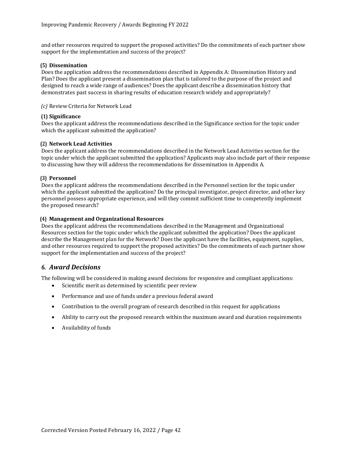and other resources required to support the proposed activities? Do the commitments of each partner show support for the implementation and success of the project?

#### **(5) Dissemination**

Does the application address the recommendations described in Appendix A: Dissemination History and Plan? Does the applicant present a dissemination plan that is tailored to the purpose of the project and designed to reach a wide range of audiences? Does the applicant describe a dissemination history that demonstrates past success in sharing results of education research widely and appropriately?

*(c)* Review Criteria for Network Lead

#### **(1) Significance**

Does the applicant address the recommendations described in the Significance section for the topic under which the applicant submitted the application?

#### **(2) Network Lead Activities**

Does the applicant address the recommendations described in the Network Lead Activities section for the topic under which the applicant submitted the application? Applicants may also include part of their response to discussing how they will address the recommendations for dissemination in Appendix A.

#### **(3) Personnel**

Does the applicant address the recommendations described in the Personnel section for the topic under which the applicant submitted the application? Do the principal investigator, project director, and other key personnel possess appropriate experience, and will they commit sufficient time to competently implement the proposed research?

#### **(4) Management and Organizational Resources**

Does the applicant address the recommendations described in the Management and Organizational Resources section for the topic under which the applicant submitted the application? Does the applicant describe the Management plan for the Network? Does the applicant have the facilities, equipment, supplies, and other resources required to support the proposed activities? Do the commitments of each partner show support for the implementation and success of the project?

### <span id="page-44-0"></span>*6. Award Decisions*

The following will be considered in making award decisions for responsive and compliant applications:

- Scientific merit as determined by scientific peer review
- Performance and use of funds under a previous federal award
- Contribution to the overall program of research described in this request for applications
- Ability to carry out the proposed research within the maximum award and duration requirements
- Availability of funds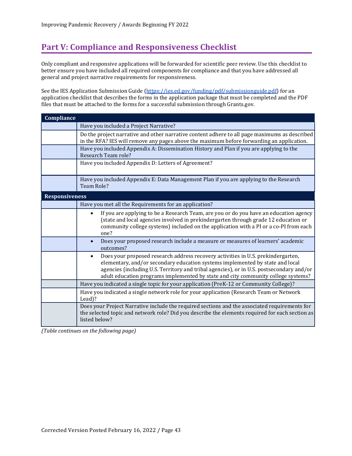# <span id="page-45-0"></span>**Part V: Compliance and Responsiveness Checklist**

Only compliant and responsive applications will be forwarded for scientific peer review. Use this checklist to better ensure you have included all required components for compliance and that you have addressed all general and project narrative requirements for responsiveness.

See the IES Application Submission Guide [\(https://ies.ed.gov/funding/pdf/submissionguide.pdf\)](https://ies.ed.gov/funding/pdf/submissionguide.pdf) for an application checklist that describes the forms in the application package that must be completed and the PDF files that must be attached to the forms for a successful submission through Grants.gov.

| Compliance            |                                                                                                                                                                                                                                                                                                                                                    |
|-----------------------|----------------------------------------------------------------------------------------------------------------------------------------------------------------------------------------------------------------------------------------------------------------------------------------------------------------------------------------------------|
|                       | Have you included a Project Narrative?                                                                                                                                                                                                                                                                                                             |
|                       | Do the project narrative and other narrative content adhere to all page maximums as described<br>in the RFA? IES will remove any pages above the maximum before forwarding an application.                                                                                                                                                         |
|                       | Have you included Appendix A: Dissemination History and Plan if you are applying to the<br>Research Team role?                                                                                                                                                                                                                                     |
|                       | Have you included Appendix D: Letters of Agreement?                                                                                                                                                                                                                                                                                                |
|                       | Have you included Appendix E: Data Management Plan if you are applying to the Research<br><b>Team Role?</b>                                                                                                                                                                                                                                        |
| <b>Responsiveness</b> |                                                                                                                                                                                                                                                                                                                                                    |
|                       | Have you met all the Requirements for an application?                                                                                                                                                                                                                                                                                              |
|                       | If you are applying to be a Research Team, are you or do you have an education agency<br>(state and local agencies involved in prekindergarten through grade 12 education or<br>community college systems) included on the application with a PI or a co-PI from each<br>one?                                                                      |
|                       | Does your proposed research include a measure or measures of learners' academic<br>$\bullet$<br>outcomes?                                                                                                                                                                                                                                          |
|                       | Does your proposed research address recovery activities in U.S. prekindergarten,<br>elementary, and/or secondary education systems implemented by state and local<br>agencies (including U.S. Territory and tribal agencies), or in U.S. postsecondary and/or<br>adult education programs implemented by state and city community college systems? |
|                       | Have you indicated a single topic for your application (PreK-12 or Community College)?                                                                                                                                                                                                                                                             |
|                       | Have you indicated a single network role for your application (Research Team or Network<br>Lead)?                                                                                                                                                                                                                                                  |
|                       | Does your Project Narrative include the required sections and the associated requirements for<br>the selected topic and network role? Did you describe the elements required for each section as<br>listed below?                                                                                                                                  |

*(Table continues on the following page)*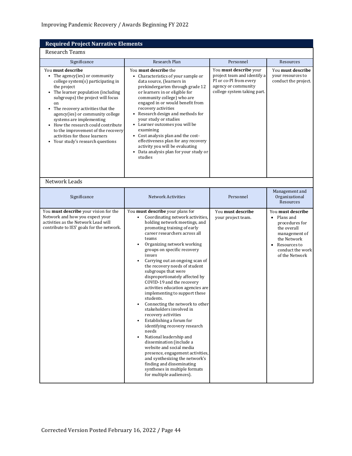## **Required Project Narrative Elements**

## Research Teams

| Significance                                                                                                                                                                                                                                                                                                                                                                                                                                             | Research Plan                                                                                                                                                                                                                                                                                                                                                                                                                                                                                                                                                                                                                                                                                                                                                                                                                                                                                                     | Personnel                                                                                                                             | Resources                                                                                                                                                       |
|----------------------------------------------------------------------------------------------------------------------------------------------------------------------------------------------------------------------------------------------------------------------------------------------------------------------------------------------------------------------------------------------------------------------------------------------------------|-------------------------------------------------------------------------------------------------------------------------------------------------------------------------------------------------------------------------------------------------------------------------------------------------------------------------------------------------------------------------------------------------------------------------------------------------------------------------------------------------------------------------------------------------------------------------------------------------------------------------------------------------------------------------------------------------------------------------------------------------------------------------------------------------------------------------------------------------------------------------------------------------------------------|---------------------------------------------------------------------------------------------------------------------------------------|-----------------------------------------------------------------------------------------------------------------------------------------------------------------|
| You must describe<br>The agency(ies) or community<br>college system(s) participating in<br>the project<br>The learner population (including<br>subgroups) the project will focus<br>on<br>The recovery activities that the<br>$\bullet$<br>agency(ies) or community college<br>systems are implementing<br>• How the research could contribute<br>to the improvement of the recovery<br>activities for those learners<br>Your study's research questions | You must describe the<br>• Characteristics of your sample or<br>data source, (learners in<br>prekindergarten through grade 12<br>or learners in or eligible for<br>community college) who are<br>engaged in or would benefit from<br>recovery activities<br>Research design and methods for<br>your study or studies<br>• Learner outcomes you will be<br>examining<br>• Cost analysis plan and the cost-<br>effectiveness plan for any recovery<br>activity you will be evaluating<br>Data analysis plan for your study or<br>studies                                                                                                                                                                                                                                                                                                                                                                            | You must describe your<br>project team and identify a<br>PI or co-PI from every<br>agency or community<br>college system taking part. | You must describe<br>vour resources to<br>conduct the project.                                                                                                  |
| Network Leads                                                                                                                                                                                                                                                                                                                                                                                                                                            |                                                                                                                                                                                                                                                                                                                                                                                                                                                                                                                                                                                                                                                                                                                                                                                                                                                                                                                   |                                                                                                                                       |                                                                                                                                                                 |
| Significance                                                                                                                                                                                                                                                                                                                                                                                                                                             | <b>Network Activities</b>                                                                                                                                                                                                                                                                                                                                                                                                                                                                                                                                                                                                                                                                                                                                                                                                                                                                                         | Personnel                                                                                                                             | Management and<br>Organizational<br>Resources                                                                                                                   |
| You must describe your vision for the<br>Network and how you expect your<br>activities as the Network Lead will<br>contribute to IES' goals for the network.                                                                                                                                                                                                                                                                                             | You must describe your plans for<br>Coordinating network activities,<br>holding network meetings, and<br>promoting training of early<br>career researchers across all<br>teams<br>Organizing network working<br>groups on specific recovery<br>issues<br>Carrying out an ongoing scan of<br>the recovery needs of student<br>subgroups that were<br>disproportionately affected by<br>COVID-19 and the recovery<br>activities education agencies are<br>implementing to support these<br>students.<br>Connecting the network to other<br>stakeholders involved in<br>recovery activities<br>Establishing a forum for<br>identifying recovery research<br>needs<br>National leadership and<br>dissemination (include a<br>website and social media<br>presence, engagement activities,<br>and synthesizing the network's<br>finding and disseminating<br>syntheses in multiple formats<br>for multiple audiences). | You must describe<br>your project team.                                                                                               | You must describe<br>$\bullet$ Plans and<br>procedures for<br>the overall<br>management of<br>the Network<br>Resources to<br>conduct the work<br>of the Network |